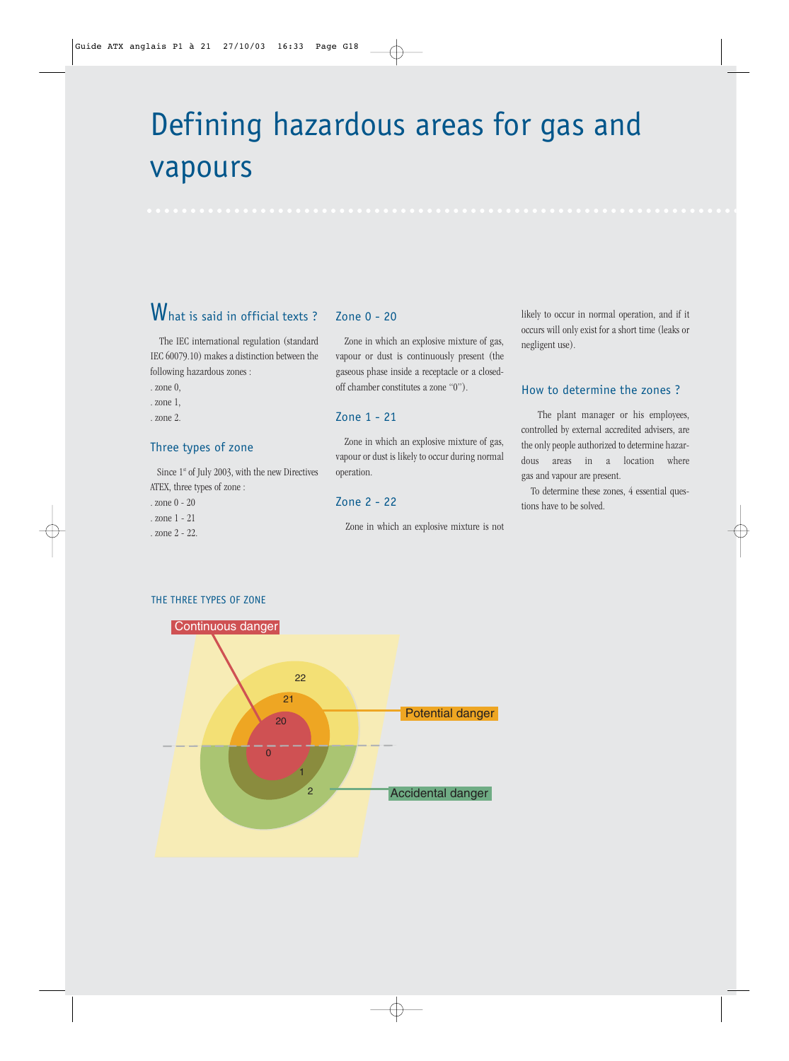## Defining hazardous areas for gas and vapours

## What is said in official texts ?

The IEC international regulation (standard IEC 60079.10) makes a distinction between the following hazardous zones :

- . zone 0,
- . zone 1,
- . zone 2.

## Three types of zone

Since  $1<sup>st</sup>$  of July 2003, with the new Directives ATEX, three types of zone :

- . zone 0 20
- . zone 1 21

. zone 2 - 22.

## Zone 0 - 20

Zone in which an explosive mixture of gas, vapour or dust is continuously present (the gaseous phase inside a receptacle or a closedoff chamber constitutes a zone "0").

## Zone 1 - 21

Zone in which an explosive mixture of gas, vapour or dust is likely to occur during normal operation.

## Zone 2 - 22

Zone in which an explosive mixture is not

likely to occur in normal operation, and if it occurs will only exist for a short time (leaks or negligent use).

## How to determine the zones ?

The plant manager or his employees, controlled by external accredited advisers, are the only people authorized to determine hazardous areas in a location where gas and vapour are present.

To determine these zones, 4 essential questions have to be solved.



#### THE THREE TYPES OF ZONE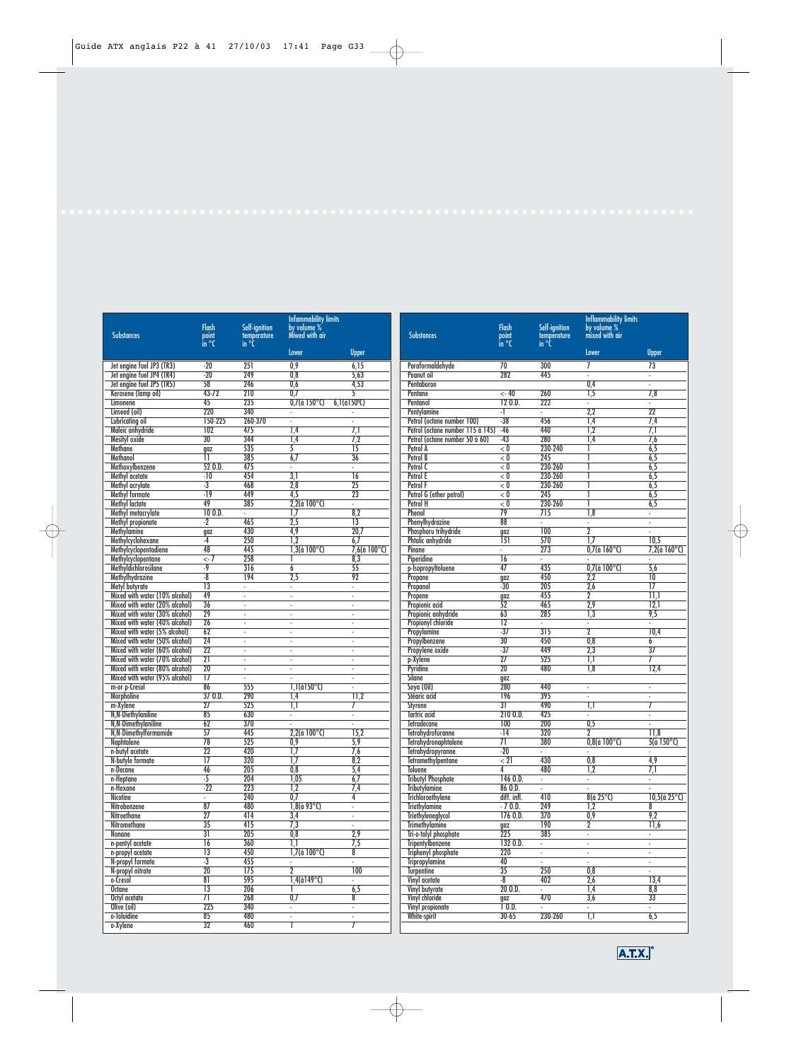|                                                                  |                       |                    | <b>Infammability limits</b>    |                                    |                                                  |                        |                                    | <b>Inflammability limits</b>              |                                  |
|------------------------------------------------------------------|-----------------------|--------------------|--------------------------------|------------------------------------|--------------------------------------------------|------------------------|------------------------------------|-------------------------------------------|----------------------------------|
|                                                                  | <b>Flash</b>          | Self-ignition      | by volume %                    |                                    |                                                  | <b>Flash</b>           | Self-ignition                      | by volume %                               |                                  |
| <b>Substances</b>                                                | point<br>in °C        | temperature        | Miwed with air                 |                                    | <b>Substances</b>                                | point<br>$\ln$ °C      | temperature<br>in °C               | mixed with air                            |                                  |
|                                                                  |                       | in $\degree$ C     | Lower                          | <b>Upper</b>                       |                                                  |                        |                                    | Lower                                     | <b>Upper</b>                     |
| Jet engine fuel JP3 (TR3)                                        | $-20$                 | 251                | 0.9                            | 6.15                               | Paraformaldehyde                                 | 70                     | 300                                | $\overline{1}$                            | 73                               |
| Jet engine fuel JP4 (TR4)                                        | $-20$                 | 249                | 0,8                            | 5,63                               | Peanut oil                                       | 282                    | 445                                | $\omega$                                  | ÷.                               |
| Jet engine fuel JP5 (TR5)                                        | 58                    | 246                | 0,6                            | 4,53                               | Pentaboron                                       |                        |                                    | 0,4                                       | ÷.                               |
| Kerosene (lamp oil)                                              | 43-72                 | 210                | 0.7                            |                                    | Pentane                                          | $\leftarrow 40$        | 260                                | $\overline{1,5}$                          | 7,8                              |
| Limonene<br>Linseed (oil)                                        | 45<br>220             | 235<br>340         | $0.7$ (à 150 $^{\circ}$ C)     | $6,1$ (à $150$ <sup>o</sup> C)     | Pentanol                                         | 120.D.<br>-1           | 222<br>$\mathcal{L}_{\mathcal{A}}$ | ÷.<br>2,2                                 | ÷.<br>$\overline{22}$            |
| Lubricating oil                                                  | 150-225               | 260-370            | $\overline{\phantom{a}}$<br>ä, | ÷.                                 | Pentylamine<br>Petrol (octane number 100)        | $-38$                  | 456                                | 1,4                                       | 7.4                              |
| Maleic anhydride                                                 | 102                   | 475                | 1,4                            | 7,1                                | Petrol (octane number 115 à 145)                 | $-46$                  | 440                                | 1,2                                       | 7,1                              |
| Mesityl oxide                                                    | 30                    | 344                | 1.4                            | 7,2                                | Petrol (octane number 50 à 60)                   | $-43$                  | 280                                | 1.4                                       | 7,6                              |
| Methane                                                          | qaz                   | 535                | 5                              | $\overline{15}$                    | Petrol A                                         | < 0                    | 230-240                            |                                           | 6,5                              |
| Methanol                                                         | π                     | 385                | 6.7                            | 36                                 | Petrol B                                         | $\overline{<}0$        | 245                                |                                           | 6,5                              |
| Methoxylbenzene                                                  | 520.0                 | 475                | ÷.                             | $\omega$                           | Petrol C                                         | < 0                    | 230-260                            |                                           | 6,5                              |
| Methyl acetate                                                   | $-10$                 | 454                | $\overline{3,1}$               | $\overline{16}$                    | Petrol E                                         | $\overline{<}0$        | 230-260                            |                                           | 6,5                              |
| Methyl acrylate                                                  | $-3$<br>$-19$         | 468<br>449         | 2,8<br>$\overline{4.5}$        | $\overline{25}$<br>$\overline{23}$ | Petrol F                                         | < 0                    | 230-260<br>245                     |                                           | 6,5                              |
| <b>Methyl formate</b><br>Methyl lactate                          | 49                    | 385                | $2,2$ (à 100 $^{\circ}$ C)     | $\omega$                           | Petrol G (ether petrol)<br>Petrol H              | < 0<br>< 0             | 230-260                            |                                           | 6,5<br>6,5                       |
| Methyl metacrylate                                               | 100.D.                | ÷.                 | 1,7                            | 8,2                                | Phenol                                           | 79                     | 715                                | 1,8                                       | ÷.                               |
| <b>Methyl propionate</b>                                         | $-2$                  | 465                | 2,5                            | $\overline{13}$                    | Phenylhydrazine                                  | 88                     | ¥.                                 | $\overline{\phantom{a}}$                  | ä,                               |
| Methylamine                                                      | gaz                   | 430                | 4,9                            | 20.7                               | Phosphoru trihydride                             | gaz                    | 100                                | $\overline{2}$                            | ÷.                               |
| Methylcyclohexane                                                | -4                    | 250                | $\overline{1.2}$               | 6,7                                | <b>Phtalic anhydride</b>                         | <u> 151</u>            | 570                                | $\overline{17}$                           | 10,5                             |
| Methylcyclopentadiene                                            | 48                    | 445                | $1,3$ (à $100^{\circ}$ C)      | $7,6$ (à 100 $^{\circ}$ C)         | Pinane                                           | ¥.                     | 273                                | $0.7$ (à 160 $^{\circ}$ C)                | $7,2$ (à $160^{\circ}$ C)        |
| Methylcyclopentane                                               | $\leftarrow$ 7        | 258                |                                | 8,3                                | Piperidine                                       | $\overline{16}$        | ×.                                 |                                           |                                  |
| Methyldichlorosilane                                             | $-9$                  | 316                | 6                              | 55                                 | p-IsopropyItoluene                               | 47                     | 435                                | $0.7$ (à $100^{\circ}$ C)                 | 5,6                              |
| Methylhydrazine                                                  | $-8$                  | 194                | 2,5                            | 92                                 | Propane                                          | gaz                    | 450                                | 2,2                                       | 10                               |
| Metyl butyrate                                                   | $\overline{13}$       | $\omega$           | ÷.                             | $\omega$                           | Propanol                                         | $-30$                  | 205                                | 2.6                                       | $\overline{17}$                  |
| Mixed with water (10% alcohol)<br>Mixed with water (20% alcohol) | 49<br>36              | ÷.<br>$\mathbf{r}$ | $\omega$<br>$\sim$             | $\blacksquare$<br>$\sim$           | Propene<br>Propionic acid                        | gaz<br>$\overline{52}$ | 455<br>465                         | $\overline{2}$<br>2,9                     | $\overline{11}$<br>12,1          |
| Mixed with water (30% alcohol)                                   | $\overline{29}$       | $\blacksquare$     | $\overline{\phantom{a}}$       | $\overline{\phantom{a}}$           | Propionic anhydride                              | 63                     | 285                                | $\overline{1,3}$                          | 9,5                              |
| Mixed with water (40% alcohol)                                   | 26                    | ÷.                 | ÷.                             | $\overline{\phantom{a}}$           | <b>Propionyl chloride</b>                        | $\overline{12}$        |                                    | ÷                                         | ÷.                               |
| Mixed with water (5% alcohol)                                    | 62                    | $\blacksquare$     | ä,                             | $\blacksquare$                     | Propylamine                                      | $-37$                  | 315                                | $\overline{2}$                            | 10,4                             |
| Mixed with water (50% alcohol)                                   | 24                    | ÷.                 | $\omega$                       | $\mathcal{L}_{\mathcal{A}}$        | Propylbenzene                                    | 30                     | 450                                | $\overline{0,8}$                          | $\overline{6}$                   |
| Mixed with water (60% alcohol)                                   | $\overline{22}$       | ÷.                 | ä,                             | $\sim$                             | Propylene oxide                                  | $-37$                  | 449                                | 2,3                                       | 37                               |
| Mixed with water (70% alcohol)                                   | $\overline{21}$       | $\blacksquare$     | $\overline{\phantom{a}}$       | $\overline{\phantom{a}}$           | p-Xylene                                         | $\overline{27}$        | 525                                | T,T                                       | 7                                |
| Mixed with water (80% alcohol)                                   | 20                    | ä,                 | $\bar{a}$                      | $\overline{\phantom{a}}$           | Pyridine                                         | $\overline{20}$        | 480                                | 1,8                                       | 12,4                             |
| Mixed with water (95% alcohol)                                   | 17                    | ä,                 | ä,                             | $\blacksquare$                     | Silane                                           | qaz                    |                                    |                                           |                                  |
| m-or p-Cresol                                                    | 86<br>370.D.          | 555<br>290         | $1,1$ (à $150^{\circ}$ C)      | $\omega$                           | Soya (Oil)                                       | 280<br>196             | 440<br>395                         | ÷.                                        | $\omega$                         |
| <b>Morpholine</b><br>m-Xylene                                    | 27                    | 525                | 1.4<br>$\overline{1,1}$        | 11,2<br>7                          | Stéaric acid<br>Styrene                          | $\overline{31}$        | 490                                | ÷.<br>$\overline{1,1}$                    | ÷.<br>7                          |
| N, N-Diethylaniline                                              | 85                    | 630                | ÷.                             | $\omega$                           | <b>Tartric</b> acid                              | 210 O.D.               | 425                                | $\omega$                                  | ä,                               |
| N, N-Dimethylaniline                                             | 62                    | 370                | ä,                             | $\omega$                           | Tetradecane                                      | 100                    | 200                                | $\overline{0.5}$                          | ÷.                               |
| N.N-Dimethylformamide                                            | 57                    | 445                | $2,2$ (à 100 $^{\circ}$ C)     | 15,2                               | <b>Tetrahydrofuranne</b>                         | $-14$                  | 320                                | $\overline{2}$                            | 11.8                             |
| <b>Naphtalene</b>                                                | 78                    | 525                | 0.9                            | 5.9                                | <b>Tetrahydronaphtalene</b>                      | 71                     | 380                                | $0.8$ (à 100 $^{\circ}$ C)                | $5(\hat{a} 150^{\circ}C)$        |
| n-butyl acetate                                                  | $\overline{22}$       | 420                | $\overline{17}$                | 7,6                                | Tetrahydropyranne                                | $-20$                  | $\mathcal{L}_{\mathcal{A}}$        |                                           |                                  |
| N-butyle formate                                                 | $\overline{17}$       | 320                | 1,7                            | 8,2                                | <b>Tetramethylpentane</b>                        | < 21                   | 430                                | $\overline{0,8}$                          | 4,9                              |
| n-Decane                                                         | 46                    | 205                | 0,8                            | 5,4                                | <b>Toluene</b>                                   | 4                      | 480                                | 1,2                                       | $\overline{7.1}$                 |
| n-Heptane                                                        | $-5$<br>$-22$         | 204                | 1.05                           | 6,7                                | <b>Tributyl Phosphate</b>                        | 146 O.D.               | ¥.                                 | $\omega$                                  | $\omega$                         |
| n-Hexane                                                         |                       | 223                | 1.2<br>0,7                     | 7.4                                | <b>Tributylamine</b><br><b>Trichloroethylene</b> | 86 O.D.                | $\sim$                             | $\sim$<br>$8(\hat{a} 25^{\circ}\text{C})$ | ÷.<br>$10,5$ (à 25 $^{\circ}$ C) |
| Nicotine<br>Nitrobenzene                                         | $\blacksquare$<br>87  | 240<br>480         | $1,8$ (à 93°C)                 | 4<br>$\omega$                      | <b>Triethylamine</b>                             | diff. infl.<br>$-70.$  | 410<br>249                         | 1,2                                       | 8                                |
| Nitroethane                                                      | $\overline{27}$       | 414                | 3,4                            | ÷.                                 | Triethyleneglycol                                | 1760.D.                | 370                                | 0,9                                       | 9,2                              |
| Nitromethane                                                     | 35                    | 415                | $\overline{7,3}$               | $\omega$                           | <b>Trimethylamine</b>                            |                        | 190                                | $\overline{2}$                            | $\overline{11,6}$                |
| Nonane                                                           | $\overline{31}$       | 205                | 0,8                            | 2,9                                | Tri-o-tolyl phosphate                            | $rac{gaz}{225}$        | 385                                | $\sim$                                    | $\omega_{\rm c}$                 |
| n-pentyl acetate                                                 | $\overline{16}$       | 360                | 1,1                            | 7,5                                | <b>Tripentylbenzene</b>                          | 132 O.D.               | $\blacksquare$                     | $\omega$                                  | $\omega$                         |
| n-propyl acetate                                                 | $\overline{13}$       | 450                | $1,7$ (à 100 $^{\circ}$ C)     | 8                                  | <b>Triphenyl phosphate</b>                       | 220                    | $\overline{\phantom{a}}$           | $\sim$                                    | ÷.                               |
| N-propyl formate                                                 | $-3$                  | 455                |                                | ä,                                 | <b>Tripropylamine</b>                            | 40                     | ÷.                                 | $\overline{\phantom{a}}$                  | ÷.                               |
| N-propyl nitrate                                                 | $\overline{20}$       | 175                | $\overline{2}$                 | $\overline{100}$                   | <b>Turpentine</b>                                | $\overline{35}$        | 250                                | $\overline{0,8}$                          | ÷.                               |
| o-Cresol                                                         | 81                    | 595                | $1,4$ (à $149^{\circ}$ C)      | $\sim$                             | Vinyl acetate                                    | $-8$                   | 402                                | 2,6                                       | 13,4                             |
| <b>Octane</b>                                                    | $\overline{13}$<br>71 | 206<br>268         | 0,7                            | 6,5<br>8                           | Vinyl butyrate<br>Vinyl chloride                 | 200.D.                 | $\mathcal{L}_{\mathcal{A}}$<br>470 | $\overline{1,4}$<br>3,6                   | 8,8<br>33                        |
| Octyl acetate<br>Olive (oil)                                     | 225                   | 340                | ÷                              | ÷                                  | Vinyl propionate                                 | gaz<br>1 O.D.          |                                    | ÷.                                        | ÷.                               |
| o-Toluidine                                                      | 85                    | 480                | $\Box$                         | $\omega$                           | <b>White-spirit</b>                              | $30 - 65$              | 230-260                            | $\overline{1,1}$                          | 6,5                              |
| o-Xylene                                                         | 32                    | 460                |                                | $\overline{7}$                     |                                                  |                        |                                    |                                           |                                  |

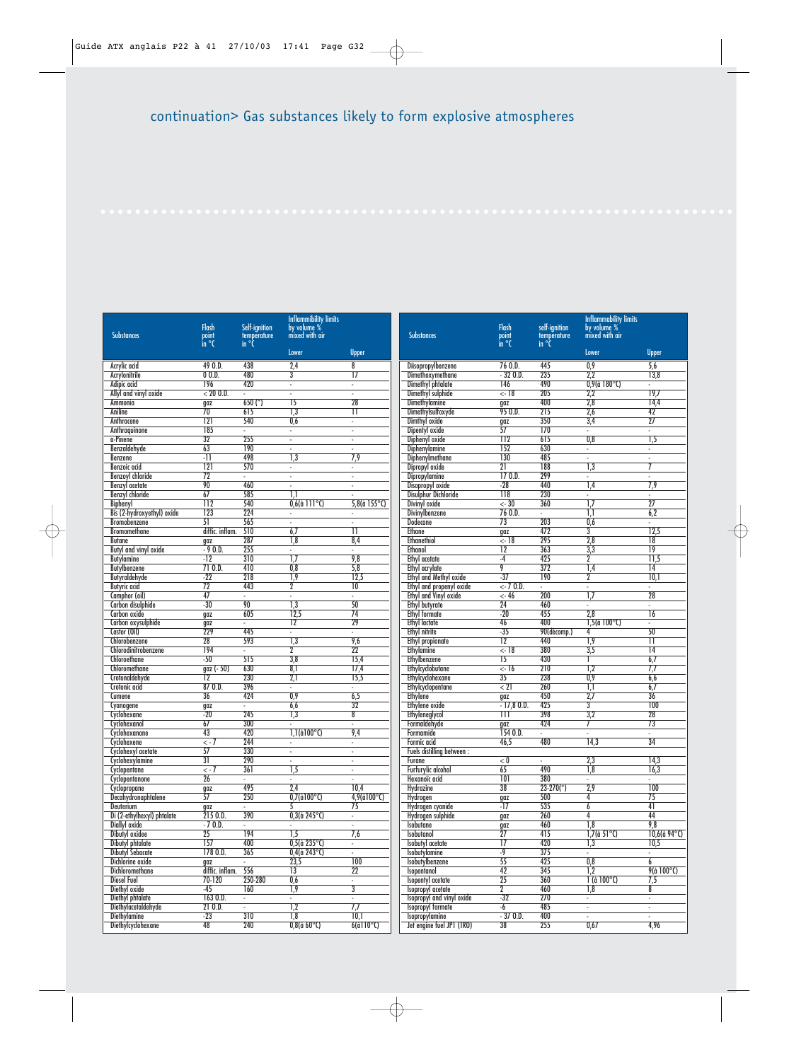|                                            |                                    |                                       | <b>Inflammibility limits</b>       |                                      |                                                 |                                |                              | <b>Inflammability limits</b>  |                                    |
|--------------------------------------------|------------------------------------|---------------------------------------|------------------------------------|--------------------------------------|-------------------------------------------------|--------------------------------|------------------------------|-------------------------------|------------------------------------|
| <b>Substances</b>                          | <b>Flash</b><br>point<br>in °C     | Self-ignition<br>temperature<br>in °C | by volume %<br>mixed with air      |                                      | <b>Substances</b>                               | <b>Flash</b><br>point<br>in °C | self-ignition<br>temperature | by volume %<br>mixed with air |                                    |
|                                            |                                    |                                       | Lower                              | <b>Upper</b>                         |                                                 |                                | in °Ċ                        | Lower                         | <b>Upper</b>                       |
| Acrylic acid                               | 49 O.D.                            | 438                                   | 2,4                                | 8                                    | Diisopropylbenzene                              | 76 O.D.                        | 445                          | 0,9                           | 5.6                                |
| Acrylonitrile                              | 00.D.                              | 480                                   | 3                                  | $\overline{17}$                      | Dimethoxymethane                                | $-320.$                        | 235                          | 2.2                           | 13,8                               |
| Adipic acid                                | 196                                | 420                                   | ÷.                                 | $\mathcal{L}$                        | <b>Dimethyl phtalate</b>                        | 146                            | 490                          | $0.9$ (à 180 $^{\circ}$ C)    | ÷.                                 |
| Allyl and vinyl oxide                      | < 20 0.0.                          | $\omega$                              | $\overline{\phantom{a}}$           | $\blacksquare$                       | Dimethyl sulphide                               | $< -18$                        | 205                          | 2,2                           | 19,7                               |
| Ammonia                                    | qaz                                | $650$ (*)                             | $\overline{15}$                    | 28                                   | <b>Dimethylamine</b>                            | gaz                            | 400                          | 2,8                           | 14,4                               |
| Aniline<br>Anthracene                      | $\overline{70}$<br>121             | 615<br>540                            | $\overline{1,3}$<br>0,6            | $\overline{11}$<br>ä,                | <b>Dimethylsulfoxyde</b><br>Dimthyl oxide       | 950.D.                         | 215<br>350                   | 2,6<br>3,4                    | $\overline{42}$<br>$\overline{27}$ |
| Anthraguinone                              | 185                                | $\mathcal{L}^{\mathcal{A}}$           | ÷.                                 | $\sim$                               | Dipentyl oxide                                  | gaz<br>$\overline{57}$         | 170                          | $\omega$ .                    | ¥.                                 |
| a-Pinene                                   | 32                                 | 255                                   | $\omega$                           | $\mathcal{L}$                        | Diphenyl oxide                                  | 112                            | 615                          | 0.8                           | $\overline{1,5}$                   |
| Benzaldehyde                               | 63                                 | 190                                   | $\blacksquare$                     | $\sim$                               | <b>Diphenylamine</b>                            | 152                            | 630                          | $\sim$                        | $\overline{\phantom{a}}$           |
| Benzene                                    | -11                                | 498                                   | $\overline{1,3}$                   | 7,9                                  | <b>Diphenylmethane</b>                          | 130                            | 485                          | $\omega$                      | $\omega$                           |
| <b>Benzoic</b> acid                        | 121                                | 570                                   | $\blacksquare$                     | $\blacksquare$                       | Dipropyl oxide                                  | $\overline{21}$                | 188                          | $\overline{1,3}$              | 7                                  |
| <b>Benzovl</b> chloride                    | $\overline{72}$                    | $\omega$                              | $\omega$                           | $\omega$                             | Dipropylamine                                   | 170.D.                         | 299                          | $\omega$                      | ä,                                 |
| <b>Benzyl</b> acetate                      | 90                                 | 460                                   | $\omega$                           | $\blacksquare$                       | Disopropyl oxide                                | $-28$                          | 440                          | 1,4                           | 7,9                                |
| Benzyl chloride                            | 67                                 | 585                                   | 1,1                                |                                      | Disulphur Dichloride                            | $\overline{118}$               | 230                          | $\sim$                        | ä,                                 |
| Biphenyl                                   | 112                                | 540                                   | $0.6$ (à 111 $^{\circ}$ C)         | $5,8$ (à 155°C)                      | Divinyl oxide                                   | $\leftarrow 30$                | 360                          | 1,7                           | $\overline{27}$                    |
| Bis (2-hydroxyethyl) oxide                 | 123                                | 224                                   |                                    |                                      | <b>Divinvlbenzene</b>                           | 76 O.D.                        | ÷.                           | 1.1                           | 6.2                                |
| <b>Bromobenzene</b><br><b>Bromomethane</b> | 51<br>diffic. inflam.              | 565<br>510                            | $\omega$<br>6,7                    | $\omega$<br>Π                        | Dodecane<br>Ethane                              | $\overline{73}$                | 203<br>472                   | 0,6<br>3                      | ÷.<br>12.5                         |
| Butane                                     | qaz                                | 287                                   | 1,8                                | 8,4                                  | <b>Ethanethiol</b>                              | gaz<br>$\leftarrow$ 18         | 295                          | $\overline{2,8}$              | 18                                 |
| Butyl and vinyl oxide                      | $-90.D.$                           | 255                                   | $\blacksquare$                     | ÷.                                   | <b>Ethanol</b>                                  | $\overline{12}$                | 363                          | 3,3                           | $\overline{19}$                    |
| Butylamine                                 | $-12$                              | 310                                   | $\overline{1.7}$                   | 9,8                                  | Ethyl acetate                                   | $-4$                           | 425                          | 2                             | 11,5                               |
| <b>Butylbenzene</b>                        | 710.0.                             | 410                                   | 0,8                                | 5,8                                  | <b>Ethyl acrylate</b>                           | 9                              | 372                          | 1,4                           | 14                                 |
| <b>Butyraldehyde</b>                       | $-22$                              | 218                                   | 1,9                                | 12,5                                 | <b>Ethyl and Methyl oxide</b>                   | $-37$                          | 190                          | $\overline{2}$                | 10.1                               |
| <b>Butyric</b> acid                        | 72                                 | 443                                   | $\overline{2}$                     | 10                                   | Ethyl and propenyl oxide                        | $<-70.0$ .                     | ÷.                           | $\sim$                        | ä,                                 |
| Camphor (oil)                              | 47                                 | $\mathcal{L}^{\mathcal{A}}$           | ÷.                                 | $\sim$                               | <b>Ethyl and Vinyl oxide</b>                    | $\overline{546}$               | 200                          | $\overline{1,7}$              | $\overline{28}$                    |
| Carbon disulphide                          | $-30$                              | 90                                    | $\overline{1,3}$                   | $\overline{50}$                      | <b>Ethyl butyrate</b>                           | 24                             | 460                          | ÷.                            | ä,                                 |
| Carbon oxide                               | gaz                                | 605                                   | 12,5                               | $\overline{74}$                      | <b>Ethyl formate</b>                            | $-20$                          | 455                          | 2,8                           | $\overline{16}$                    |
| Carbon oxysulphide                         | gaz                                | ÷.                                    | $\overline{12}$                    | 29                                   | <b>Ethyl lactate</b>                            | 46                             | 400                          | $1.5$ (à $100^{\circ}$ C)     | ¥.                                 |
| Castor (Oil)                               | 229<br>28                          | 445<br>593                            | ÷.                                 | $\omega$<br>9,6                      | Ethyl nitrite                                   | $-35$<br>$\overline{12}$       | 90(décomp.)<br>440           | 4<br>$\overline{1,9}$         | 50<br>π                            |
| Chlorobenzene<br>Chlorodinitrobenzene      | 194                                | ÷.                                    | $\overline{1,3}$<br>$\overline{2}$ | $\overline{22}$                      | <b>Ethyl propionate</b><br><b>Ethylamine</b>    | $< -18$                        | 380                          | 3,5                           | 14                                 |
| Chloroethane                               | $-50$                              | $\overline{515}$                      | $\overline{3,8}$                   | 15,4                                 | <b>Ethylbenzene</b>                             | $\overline{15}$                | 430                          |                               | 6,7                                |
| Chloromethane                              | qaz (- 50)                         | 630                                   | 8,1                                | 17,4                                 | Ethylcyclobutane                                | $\leftarrow$ 16                | 210                          | $\overline{1.2}$              | 7.7                                |
| Crotonaldehyde                             | 12                                 | 230                                   | 2,1                                | 15.5                                 | Ethylcyclohexane                                | $\overline{35}$                | 238                          | 0.9                           | 6.6                                |
| Crotonic acid                              | 870.D.                             | 396                                   | ÷.                                 | $\blacksquare$                       | <b>Ethylcyclopentane</b>                        | $\overline{<}$ 21              | 260                          | $\overline{1,1}$              | 6,7                                |
| Cumene                                     | 36                                 | 424                                   | 0,9                                | 6,5                                  | Ethylene                                        | gaz                            | 450                          | 2,7                           | 36                                 |
| Cyanogene                                  | gaz                                | $\mathcal{L}_{\mathcal{A}}$           | 6,6                                | $\overline{32}$                      | Ethylene oxide                                  | $-17,80.D.$                    | 425                          | $\overline{3}$                | 100                                |
| Cyclohexane                                | $-20$                              | 245                                   | 1,3                                | 8                                    | Ethyleneglycol                                  | $\overline{111}$               | 398                          | 3,2                           | 28                                 |
| Cyclohexanol                               | 67                                 | 300                                   | ÷.                                 | $\omega$                             | Formaldehyde                                    | qaz                            | 424                          |                               | $\overline{73}$                    |
| Cyclohexanone                              | 43                                 | 420                                   | $1,1$ (à $100^{\circ}$ C)          | 9,4                                  | Formamide                                       | 1540.                          | ä,                           |                               | $\mathbb{Z}^+$                     |
| Cyclohexene                                | $\leftarrow$ 7<br>57               | 244<br>330                            | $\blacksquare$<br>ä,               | $\overline{\phantom{a}}$<br>$\omega$ | <b>Formic acid</b><br>Fuels distilling between: | 46,5                           | 480                          | 14,3                          | $\overline{34}$                    |
| Cyclohexyl acetate<br>Cyclohexylamine      | $\overline{31}$                    | 290                                   | ÷.                                 | $\sim$                               | <b>Furane</b>                                   | < 0                            | ÷.                           | 2,3                           | 14,3                               |
| Cyclopentane                               | $\left\langle \cdot \right\rangle$ | 361                                   | $\overline{1,5}$                   | $\overline{\phantom{a}}$             | <b>Furfurylic alcohol</b>                       | 65                             | 490                          | $\overline{1,8}$              | 16,3                               |
| Cyclopentanone                             | 26                                 | $\overline{\phantom{a}}$              | $\blacksquare$                     | $\blacksquare$                       | Hexanoïc acid                                   | 101                            | 380                          | ÷.                            | ÷.                                 |
| Cyclopropane                               | gaz                                | 495                                   | 2,4                                | 10,4                                 | Hydrazine                                       | 38                             | $23 - 270$ (*)               | 7.9                           | 100                                |
| Decahydronaphtalene                        | 57                                 | 250                                   | $0,7$ (à $100^{\circ}$ C)          | $4,9$ (à $100^{\circ}$ C)            | Hydrogen                                        | gaz                            | 500                          | 4                             | 75                                 |
| Deuterium                                  | gaz                                | ÷.                                    |                                    | 75                                   | Hydrogen cyanide                                | -17                            | 535                          | $\overline{6}$                | 41                                 |
| Di (2-ethylhexyl) phtalate                 | 2150.D.                            | 390                                   | $0.3$ (à 245°C)                    | $\mathbb{Z}^{\times}$                | Hydrogen sulphide                               | gaz                            | 260                          | 4                             | 44                                 |
| Diallyl oxide                              | $-70.0.$                           | $\blacksquare$                        |                                    | ÷.                                   | <b>Isobutane</b>                                | $\frac{gaz}{27}$               | 460                          | $\overline{1,8}$              | 9,8                                |
| <b>Dibutyl oxidee</b>                      | $\overline{25}$                    | 194                                   | $\overline{1,5}$                   | 7,6                                  | <b>Isobutanol</b>                               |                                | 415                          | $1,7$ (à 51 $^{\circ}$ C)     | $10,6$ (à 94 $^{\circ}$ C)         |
| Dibutyl phtalate                           | 157                                | 400                                   | $0,5$ (à 235 $^{\circ}$ C)         | ۰                                    | Isobutyl acetate                                | $\overline{17}$                | 420                          | 1,3                           | 10,5                               |
| <b>Dibutyl Sebacate</b>                    | 178 O.D.                           | 365                                   | $0,4$ (à 243°C)                    | $\mathcal{L}_{\mathcal{A}}$          | <b>Isobutylamine</b>                            | $-9$                           | 375                          | $\mathcal{L}^{\mathcal{L}}$   | ÷.                                 |
| Dichlorine oxide<br><b>Dichloromethane</b> | gaz<br>diffic. inflam.             | $\sim$<br>556                         | 23,5                               | 100<br>$\overline{22}$               | Isobutylbenzene                                 | 55<br>42                       | 425<br>345                   | 0,8<br>$\overline{1,2}$       | 6<br>$9$ (à $100^{\circ}$ C)       |
| <b>Diesel Fuel</b>                         | 70-120                             | 250-280                               | 13<br>0,6                          | ÷.                                   | Isopentanol<br><b>Isopentyl</b> acetate         | 25                             | 360                          | $1$ (à $100^{\circ}$ C)       |                                    |
| Diethyl oxide                              | $-45$                              | 160                                   | $\overline{1,9}$                   | $\overline{\mathbf{3}}$              | Isopropyl acetate                               | $\overline{2}$                 | 460                          | 1,8                           | 7,5<br>8                           |
| <b>Diethyl phtalate</b>                    | 1630.D.                            | $\omega$                              |                                    | $\mathcal{L}_{\mathcal{A}}$          | Isopropyl and vinyl oxide                       | $-32$                          | 270                          | $\mathbb{Z}^2$                | ÷.                                 |
| <b>Diethylacetaldehyde</b>                 | 210.D.                             | $\omega$                              | $\overline{1,2}$                   | 7,7                                  | <b>Isopropyl</b> formate                        | -6                             | 485                          | $\omega_{\rm c}$              | $\omega$                           |
| <b>Diethylamine</b>                        | $-23$                              | 310                                   | $\overline{1,8}$                   | $\overline{10,1}$                    | <b>Isopropylamine</b>                           | $-370.$                        | 400                          | $\mathcal{L}^{\mathcal{L}}$   | ÷.                                 |
| Diethylcyclohexane                         | 48                                 | 240                                   | $0,8$ (à $60^{\circ}$ C)           | $6$ (àl 10 $^{\circ}$ C)             | Jet engine fuel JP1 (TRO)                       | 38                             | 255                          | 0,67                          | 4,96                               |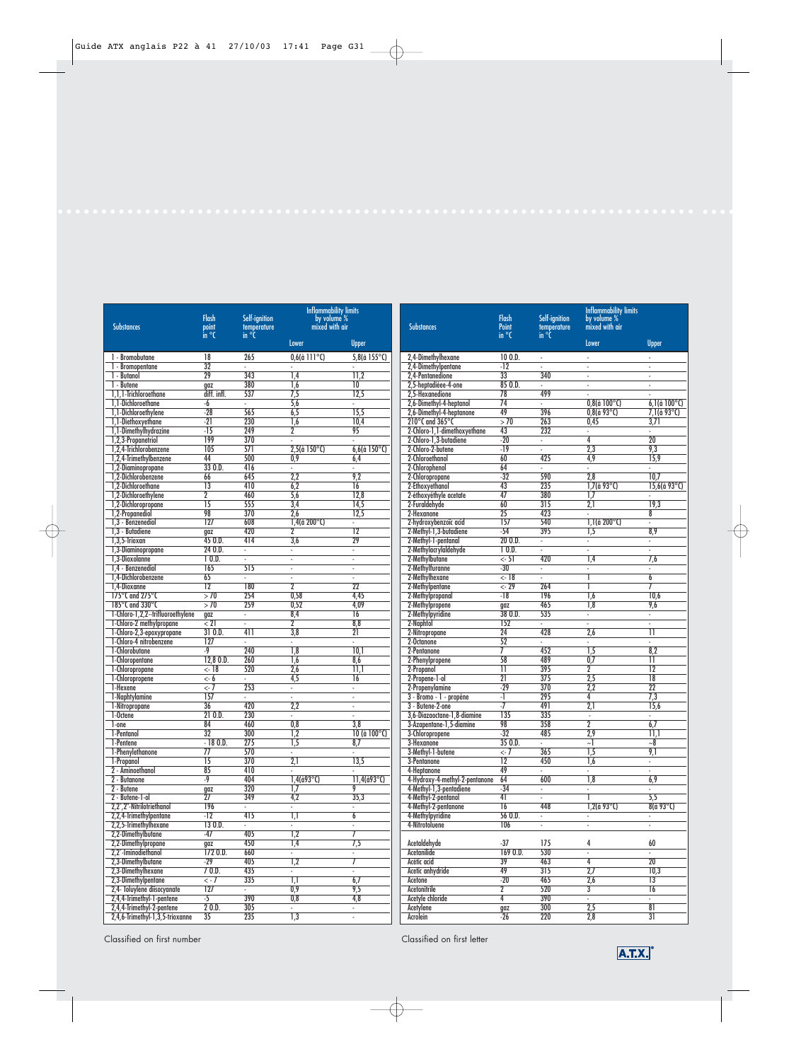| <b>Substances</b>                                    | <b>Flash</b><br>point<br>in °C | Self-ignition<br>temperature<br>in °C | <b>Inflammability limits</b><br>by volume %<br>mixed with air |                            | <b>Substances</b>                                               |
|------------------------------------------------------|--------------------------------|---------------------------------------|---------------------------------------------------------------|----------------------------|-----------------------------------------------------------------|
|                                                      |                                |                                       | <b>Lower</b>                                                  | <b>Upper</b>               |                                                                 |
| 1 - Bromobutane                                      | 18                             | 265                                   | $0,6$ (à 111 $^{\circ}$ C)                                    | $5,8$ (à 155 $^{\circ}$ C) | 2,4-Dimethylhexane                                              |
| 1 - Bromopentane                                     | 32                             | ä,                                    |                                                               |                            | 2,4-Dimethylpentane                                             |
| 1 - Butanol                                          | 29                             | 343                                   | 1,4                                                           | 11,2                       | 2.4-Pentanedione                                                |
| 1 - Butene                                           | gaz                            | 380                                   | $\overline{1.6}$                                              | 10                         | 2,5-heptadièee-4-one                                            |
| 1,1,1-Trichloroethane                                | diff. infl.                    | 537                                   | $\overline{7,5}$                                              | 12,5                       | 2,5-Hexanedione                                                 |
| 1.1-Dichloroethane                                   | $-6$<br>$-28$                  | ä,<br>565                             | 5,6<br>6,5                                                    | ä,<br>15,5                 | 2,6-Dimethyl-4-heptanol                                         |
| 1,1-Dichloroethylene<br>1.1-Diethoxvethane           | $-21$                          | 230                                   | 1,6                                                           | 10.4                       | 2,6-Dimethyl-4-heptanone<br>210 $\degree$ C and 365 $\degree$ C |
| 1,1-Dimethylhydrazine                                | $-15$                          | 249                                   | $\overline{2}$                                                | 95                         | 2-Chloro-1,1-dimethoxyethane                                    |
| 1,2,3-Propanetriol                                   | 199                            | 370                                   | L,                                                            | L.                         | 2-Chloro-1,3-butadiene                                          |
| 1,2,4-Trichlorobenzene                               | 105                            | 571                                   | $2,5$ (à 150 $^{\circ}$ C)                                    | $6,6$ (à 150 $^{\circ}$ C) | 2-Chloro-2-butene                                               |
| 1,2,4-Trimethylbenzene                               | 44                             | 500                                   | 0,9                                                           | 6,4                        | 2-Chloroethanol                                                 |
| 1,2-Diaminopropane                                   | 330.D.                         | 416                                   |                                                               |                            | 2-Chlorophenol                                                  |
| 1.2-Dichlorobenzene                                  | 66                             | 645                                   | 2.2                                                           | 9,2                        | 2-Chloropropane                                                 |
| 1.2-Dichloroethane                                   | $\overline{13}$                | 410                                   | 6.2                                                           | $\overline{16}$            | 2-Ethoxyethanol                                                 |
| 1,2-Dichloroethylene                                 | $\overline{2}$                 | 460                                   | 5,6                                                           | 12,8                       | 2-éthoxyéthyle acetate                                          |
| 1,2-Dichloropropane                                  | $\overline{15}$                | 555                                   | 3.4                                                           | 14,5                       | 2-Furaldehyde                                                   |
| 1,2-Propanediol<br>1.3 - Benzenediol                 | 98                             | 370                                   | 2.6                                                           | 12,5                       | 2-Hexanone                                                      |
| 1.3 - Butadiene                                      | 127                            | 608<br>420                            | $1,4$ (à 200°C)<br>$\overline{2}$                             | L.<br>$\overline{12}$      | 2-hydroxybenzoïc acid<br>2-Methyl-1,3-butadiene                 |
| $1,3,5$ -Trioxan                                     | qaz<br>450.D.                  | 414                                   | 3,6                                                           | $\overline{29}$            | 2-Methyl-1-pentanal                                             |
| 1,3-Diaminopropane                                   | 240.D.                         | ÷.                                    | ÷.                                                            | ÷.                         | 2-Methylacrylaldehyde                                           |
| 1,3-Dioxolanne                                       | 10.D.                          | ä,                                    | ÷,                                                            | ä,                         | 2-Methylbutane                                                  |
| 1.4 - Benzenediol                                    | 165                            | 515                                   | ä,                                                            | ä,                         | 2-Methylfuranne                                                 |
| 1.4-Dichlorobenzene                                  | 65                             | ÷,                                    | ä,                                                            | ÷.                         | 2-Methylhexane                                                  |
| 1,4-Dioxanne                                         | $\overline{12}$                | 180                                   | $\overline{2}$                                                | $\overline{22}$            | 2-Methylpentane                                                 |
| 175°C and 275°C                                      | > 70                           | 254                                   | 0.58                                                          | 4,45                       | 2-Methylpropanal                                                |
| 185°C and 330°C                                      | >70                            | 259                                   | 0.52                                                          | 4.09                       | 2-Methylpropene                                                 |
| 1-Chloro-1,2,2--trifluoroethylene                    | gaz                            | $\omega$                              | 8,4                                                           | 16                         | 2-Methylpyridine                                                |
| 1-Chloro-2 methylpropane                             | $\zeta$ 21                     | ÷,                                    | $\overline{2}$                                                | 8.8                        | 2-Naphtol                                                       |
| 1-Chloro-2,3-epoxypropane<br>1-Chloro-4 nitrobenzene | 310.D.<br>127                  | 411<br>ä,                             | 3,8<br>÷.                                                     | $\overline{21}$<br>÷.      | 2-Nitropropane<br>2-Octanone                                    |
| 1-Chlorobutane                                       | $-9$                           | 240                                   | $\overline{1,8}$                                              | 10.1                       | 2-Pentanone                                                     |
| 1-Chloropentane                                      | 12,80.D.                       | 260                                   | $\overline{1,6}$                                              | 8,6                        | 2-Phenylpropene                                                 |
| 1-Chloropropane                                      | $< -18$                        | 520                                   | 2.6                                                           | 11,1                       | 2-Propanol                                                      |
| 1-Chloropropene                                      | <- 6                           | $\bar{a}$                             | 4,5                                                           | 16                         | 2-Propene-1-ol                                                  |
| 1-Hexene                                             | $\overline{5}$                 | 253                                   | ÷.                                                            | ÷.                         | 2-Propenylamine                                                 |
| 1-Naphtylamine                                       | 157                            |                                       | ä,                                                            | $\overline{\phantom{a}}$   | 3 - Bromo - 1 - propène                                         |
| 1-Nitropropane                                       | 36                             | 420                                   | 2,2                                                           | ä,                         | 3 - Butene-2-one                                                |
| 1-Octene                                             | 210.D.                         | 230                                   | ä,                                                            | ä,                         | 3,6-Diazaoctane-1,8-diamine                                     |
| $1$ -one                                             | 84                             | 460                                   | $\overline{0,8}$                                              | $\overline{3,8}$           | 3-Azapentane-1,5-diamine                                        |
| 1-Pentanol<br>1-Pentene                              | 32<br>$-180.$                  | 300<br>275                            | $\overline{1,2}$<br>$\overline{1,5}$                          | 10 (à 100°C)<br>8,7        | 3-Chloropropene<br>3-Hexanone                                   |
| 1-Phenvlethanone                                     | $\overline{77}$                | 570                                   | ä,                                                            | l,                         | 3-Methyl-1-butene                                               |
| 1-Propanol                                           | $\overline{15}$                | 370                                   | $\overline{2,1}$                                              | 13,5                       | 3-Pentanone                                                     |
| 2 - Aminoethanol                                     | 85                             | 410                                   |                                                               |                            | 4-Heptanone                                                     |
| 2 - Butanone                                         | $-9$                           | 404                                   | $1,4$ (à $93^{\circ}$ C)                                      | $11,4$ (à93°C)             | 4-Hydroxy-4-methyl-2-pentan                                     |
| 2 - Butene                                           | gaz                            | 320                                   | $\overline{1,7}$                                              | 9                          | 4-Methyl-1,3-pentadiene                                         |
| 2 - Butene-1-ol                                      | 27                             | 349                                   | 4,2                                                           | 35,3                       | 4-Methyl-2-pentanol                                             |
| 2,2',2"-Nitrilotriethanol                            | 196                            | ä,                                    | ÷.                                                            | ä,                         | 4-Methyl-2-pentanone                                            |
| 2,2,4-Trimethylpentane                               | $-12$                          | 415                                   | $\overline{1,1}$                                              | 6                          | 4-Methylpyridine                                                |
| 2,2,5-Trimethylhexane                                | 130.D.                         | ä,                                    | ÷.                                                            | ÷,                         | 4-Nitrotoluene                                                  |
| 2,2-Dimethylbutane<br>2,2-Dimethylpropane            | $-47$                          | 405<br>450                            | $\overline{1,2}$<br>$\overline{1,4}$                          | 7<br>$\overline{7,5}$      | Acetaldehyde                                                    |
| 2,2'-Iminodiethanol                                  | gaz<br>1720.D.                 | 660                                   | $\blacksquare$                                                | ä,                         | Acetanilide                                                     |
| 2,3-Dimethylbutane                                   | $-29$                          | 405                                   | $\overline{1,2}$                                              | 7                          | Acétic acid                                                     |
| 2,3-Dimethylhexane                                   | 70.D.                          | 435                                   | ÷                                                             | ÷,                         | Acetic anhydride                                                |
| 2,3-Dimethylpentane                                  | $\leftarrow$ 7                 | 335                                   | $\overline{1,1}$                                              | 6,7                        | Acetone                                                         |
| 2,4- Toluylene diisocyanate                          | 127                            | ł,                                    | $\overline{0,9}$                                              | 9,5                        | Acetonitrile                                                    |
| 2,4,4-Trimethyl-1-pentene                            | $-5$                           | 390                                   | 0,8                                                           | 4,8                        | Acetyle chloride                                                |
| 2,4,4-Trimethyl-2-pentene                            | 20.0.                          | 305                                   | ÷.                                                            | ٠                          | Acetylene                                                       |
| 2,4,6-Trimethyl-1,3,5-trioxanne                      | $\overline{35}$                | 235                                   | $\overline{1,3}$                                              | ä,                         | <b>Acrolein</b>                                                 |

| <b>Substances</b>                               | <b>Flash</b><br>Point<br>$\overline{\mathsf{in}^{\circ}C}$ | Self-ignition<br>temperature<br>in °C | Inflammability limits<br>by volume %<br>mixed with air<br>Lower | Upper                     |
|-------------------------------------------------|------------------------------------------------------------|---------------------------------------|-----------------------------------------------------------------|---------------------------|
| 2,4-Dimethylhexane                              | 100.D.                                                     | $\blacksquare$                        |                                                                 |                           |
| 2,4-Dimethylpentane                             | $-12$                                                      |                                       | $\overline{\phantom{a}}$                                        | ÷,                        |
| 2,4-Pentanedione                                | $\overline{33}$                                            | 340                                   | ÷,                                                              | $\blacksquare$            |
| 2,5-heptadièee-4-one                            | 850.D.<br>78                                               | ä,<br>499                             | ÷,                                                              | $\blacksquare$<br>÷,      |
| 2,5-Hexanedione<br>2,6-Dimethyl-4-heptanol      | $\overline{74}$                                            | ÷,                                    | $0,8$ (à $100^{\circ}$ C)                                       | $6,1$ (à $100^{\circ}$ C) |
| 2,6-Dimethyl-4-heptanone                        | 49                                                         | 396                                   | $0,8$ (à 93°C)                                                  | $7,1$ (à 93°C)            |
| 210°C and 365°C                                 | >70                                                        | 263                                   | 0,45                                                            | 3,71                      |
| 2-Chloro-1,1-dimethoxyethane                    | 43                                                         | 232                                   | ÷                                                               | ÷                         |
| 2-Chloro-1,3-butadiene                          | $-20$                                                      |                                       | $\overline{4}$                                                  | 20                        |
| 2-Chloro-2-butene<br>2-Chloroethanol            | $-19$<br>60                                                | ÷,<br>425                             | $\overline{2,3}$<br>4,9                                         | 9,3<br>15,9               |
| 2-Chlorophenol                                  | 64                                                         | $\overline{\phantom{a}}$              | ÷                                                               | ÷                         |
| 2-Chloropropane                                 | $-32$                                                      | 590                                   | 2,8                                                             | 10,7                      |
| 2-Ethoxyethanol                                 | 43                                                         | 235                                   | $1,7$ (à 93°C)                                                  | $15,6$ (à 93°C)           |
| 2-éthoxyéthyle acetate                          | 47                                                         | 380                                   | $\overline{17}$                                                 | L,                        |
| 2-Furaldehyde                                   | 60                                                         | 315                                   | 2,1                                                             | 19,3                      |
| 2-Hexanone                                      | $\overline{25}$<br>157                                     | 423                                   | $\overline{\phantom{a}}$                                        | 8                         |
| 2-hydroxybenzoïc acid<br>2-Methyl-1,3-butadiene | $-54$                                                      | 540<br>395                            | $1,1$ (à 200 $^{\circ}$ C)<br>$\overline{1,5}$                  | ä,<br>8,9                 |
| 2-Methyl-1-pentanal                             | 200.                                                       | ÷.                                    | ä,                                                              | ä,                        |
| 2-Methylacrylaldehyde                           | 10.D.                                                      | ä,                                    | ä,                                                              | ä,                        |
| 2-Methylbutane                                  | $\leftarrow$ 51                                            | 420                                   | $\overline{1,4}$                                                | 7,6                       |
| 2-Methylfuranne                                 | $-30$                                                      | ÷,                                    | ÷,                                                              | ÷                         |
| 2-Methylhexane                                  | $\overline{<-18}$                                          |                                       | ī                                                               | $\overline{6}$            |
| 2-Methylpentane                                 | $\overline{<-29}$<br>$-18$                                 | 264<br>196                            | ī<br>$\overline{1,6}$                                           | 7<br>10,6                 |
| 2-Methylpropanal<br>2-Methylpropene             | gaz                                                        | 465                                   | 1,8                                                             | 9,6                       |
| 2-Methylpyridine                                | 380.D.                                                     | 535                                   | ÷,                                                              | ÷                         |
| 2-Naphtol                                       | 152                                                        | ä,                                    | L,                                                              | ä,                        |
| 2-Nitropropane                                  | $\overline{24}$                                            | 428                                   | 2,6                                                             | π                         |
| 2-Octanone                                      | 52                                                         | ä,                                    | ÷.                                                              | ä,                        |
| 2-Pentanone                                     | 7<br>58                                                    | 452<br>489                            | $\overline{1,5}$<br>$\overline{0,7}$                            | 8,2<br>π                  |
| 2-Phenylpropene<br>2-Propanol                   | П                                                          | 395                                   | 2                                                               | $\overline{12}$           |
| 2-Propene-1-ol                                  | $\overline{21}$                                            | 375                                   | $\overline{2,5}$                                                | $\overline{18}$           |
| 2-Propenylamine                                 | $-29$                                                      | 370                                   | 2.2                                                             | $\overline{22}$           |
| 3 - Bromo - 1 - propène                         | -1                                                         | 295                                   | 4                                                               | 7,3                       |
| 3 - Butene-2-one                                | -7                                                         | 491                                   | $\overline{2,1}$                                                | 15,6                      |
| 3,6-Diazaoctane-1,8-diamine                     | 135                                                        | 335                                   | $\overline{\phantom{a}}$                                        | ÷,                        |
| 3-Azapentane-1,5-diamine<br>3-Chloropropene     | 98<br>$-32$                                                | 358<br>485                            | $\overline{2}$<br>2,9                                           | 6,7<br>11.1               |
| 3-Hexanone                                      | 350.                                                       | ÷.                                    | ~1                                                              | $\sim\!\!8$               |
| 3-Methyl-1-butene                               | $\leftarrow \overline{7}$                                  | 365                                   | $\overline{1,5}$                                                | 9,1                       |
| 3-Pentanone                                     | $\overline{12}$                                            | 450                                   | 1,6                                                             | ÷                         |
| 4-Heptanone                                     | 49                                                         | L,                                    | ÷,                                                              | ä,                        |
| 4-Hydroxy-4-methyl-2-pentanone                  | $\overline{64}$                                            | 600                                   | $\overline{1,8}$                                                | 6,9                       |
| 4-Methyl-1,3-pentadiene<br>4-Methyl-2-pentanol  | -34<br>41                                                  | $\blacksquare$                        | ī                                                               | $\sim$<br>5,5             |
| 4-Methyl-2-pentanone                            | 16                                                         | 448                                   | $1,2$ (à 93°C)                                                  | 8(à 93°C)                 |
| 4-Methylpyridine                                | 56 O.D.                                                    | ÷,                                    | ÷,                                                              |                           |
| 4-Nitrotoluene                                  | 106                                                        | ä,                                    | ä,                                                              | ä,                        |
| Acetaldehyde                                    | -37                                                        | 175                                   | 4                                                               | 60                        |
| Acetanilide                                     | 1690.D.                                                    | 530                                   | ÷.                                                              | ÷.                        |
| Acétic acid                                     | 39                                                         | 463                                   | 4                                                               | $\overline{20}$           |
| Acetic anhydride                                | 49                                                         | $\overline{315}$                      | 2,7                                                             | 10,3                      |
| Acetone                                         | $-20$                                                      | 465                                   | 2,6<br>$\overline{3}$                                           | 13<br>$\overline{16}$     |
| Acetonitrile<br>Acetyle chloride                | 2<br>$\overline{4}$                                        | 520<br>390                            | ä,                                                              | ÷.                        |
| Acetylene                                       | gaz                                                        | 300                                   | 2,5                                                             | 81                        |
| <b>Acrolein</b>                                 | $-26$                                                      | 220                                   | 2,8                                                             | $\overline{31}$           |

Classified on first number Classified on first letter

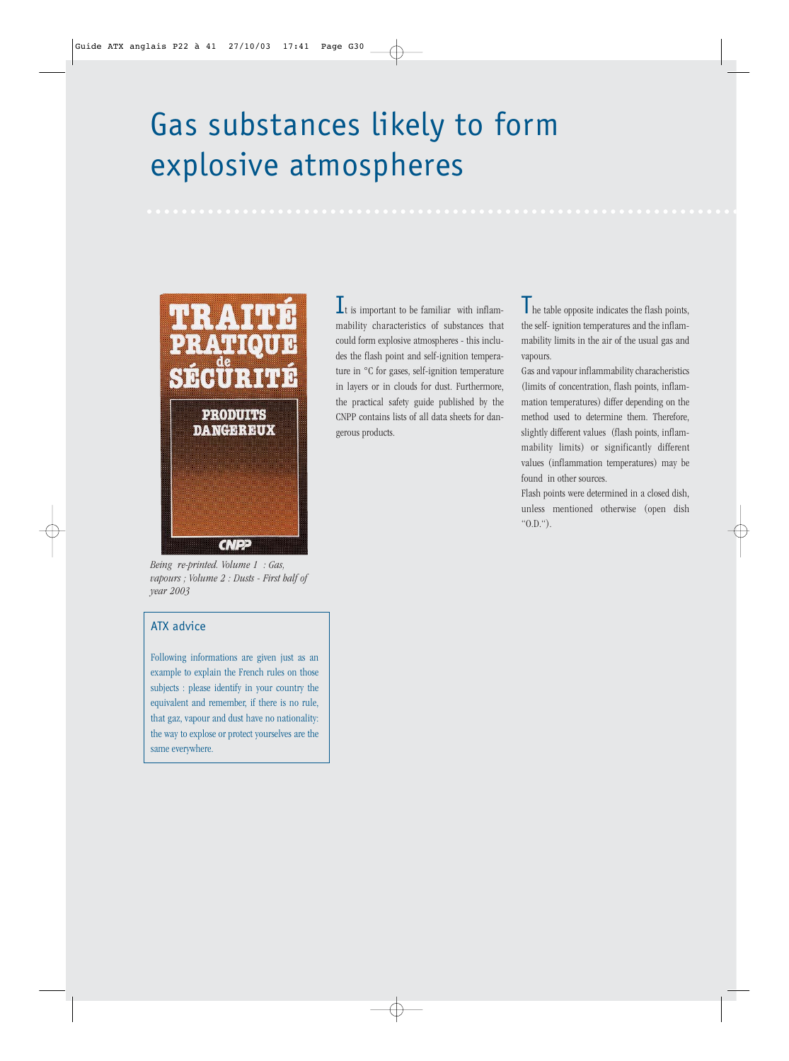## Gas substances likely to form explosive atmospheres



*Being re-printed. Volume 1 : Gas, vapours ; Volume 2 : Dusts - First half of year 2003*

## ATX advice

Following informations are given just as an example to explain the French rules on those subjects : please identify in your country the equivalent and remember, if there is no rule, that gaz, vapour and dust have no nationality: the way to explose or protect yourselves are the same everywhere.

 $\mathbf{I}_{\text{t}}$  is important to be familiar with inflammability characteristics of substances that could form explosive atmospheres - this includes the flash point and self-ignition temperature in °C for gases, self-ignition temperature in layers or in clouds for dust. Furthermore, the practical safety guide published by the CNPP contains lists of all data sheets for dangerous products.

The table opposite indicates the flash points, the self- ignition temperatures and the inflammability limits in the air of the usual gas and vapours.

Gas and vapour inflammability characheristics (limits of concentration, flash points, inflammation temperatures) differ depending on the method used to determine them. Therefore, slightly different values (flash points, inflammability limits) or significantly different values (inflammation temperatures) may be found in other sources.

Flash points were determined in a closed dish, unless mentioned otherwise (open dish "O.D.").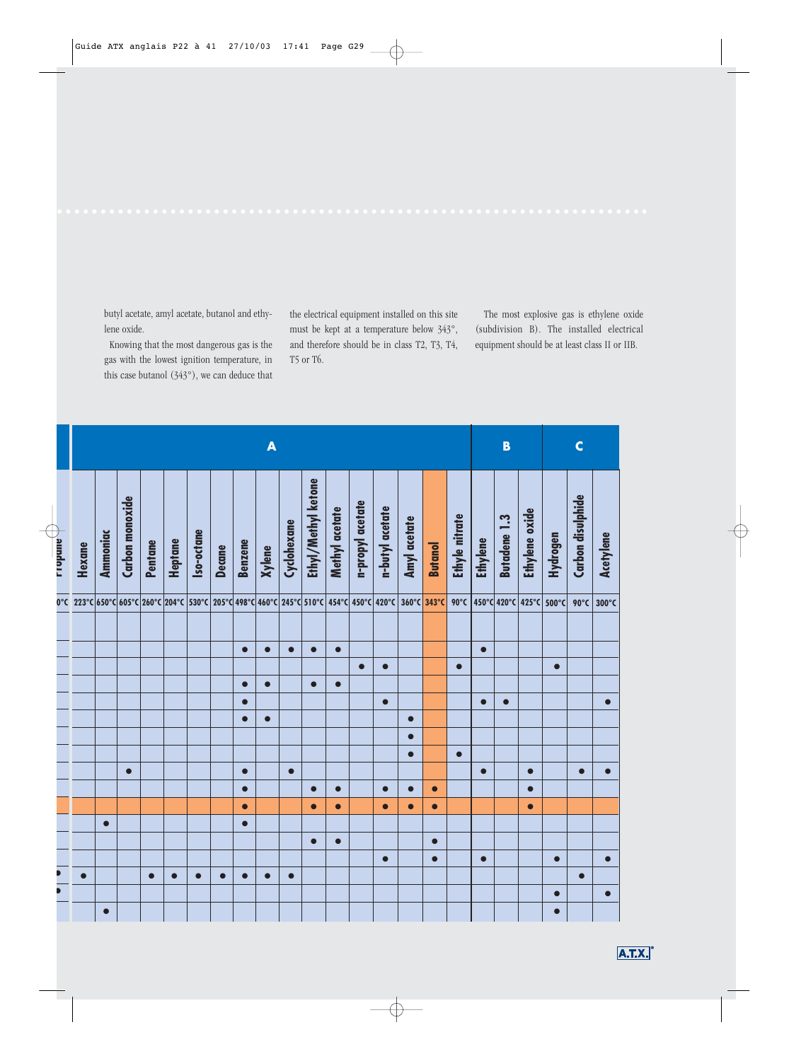butyl acetate, amyl acetate, butanol and ethylene oxide.

Knowing that the most dangerous gas is the gas with the lowest ignition temperature, in this case butanol (343°), we can deduce that the electrical equipment installed on this site must be kept at a temperature below 343°, and therefore should be in class T2, T3, T4, T5 or T6.

The most explosive gas is ethylene oxide (subdivision B). The installed electrical equipment should be at least class II or IIB.

| B<br>A<br>Ethyl/Methyl ketone<br>Carbon monoxide<br>n-propyl acetate<br>Methyl acetate<br>n-butyl acetate<br>Ethyle nitrate<br><b>Butadene 1.3</b><br>Amyl acetate<br>Cyclohexane<br>Iso-octane<br><b>Ammoniac</b><br><b>Ethylene</b><br><b>Benzene</b><br>Heptane<br>Pentane<br><b>Butanol</b><br><b>Decane</b><br><b>Xylene</b><br>$360^{\circ}$ C<br>343°C<br>$90^{\circ}$ C<br>$\bullet$<br>$\bullet$<br>$\bullet$<br>$\bullet$<br>$\bullet$<br>$\bullet$<br>$\bullet$<br>$\bullet$<br>$\bullet$<br>$\bullet$<br>$\bullet$<br>$\bullet$<br>$\bullet$<br>$\bullet$<br>$\bullet$<br>$\bullet$<br>$\bullet$<br>$\bullet$<br>$\bullet$<br>$\bullet$<br>$\bullet$<br>$\bullet$<br>$\bullet$<br>$\bullet$<br>$\bullet$<br>$\bullet$<br>$\bullet$<br>$\bullet$<br>$\bullet$<br>$\bullet$<br>$\bullet$<br>$\bullet$<br>$\bullet$<br>$\bullet$<br>$\bullet$<br>$\bullet$<br>$\bullet$<br>$\bullet$<br>$\bullet$<br>$\bullet$<br>$\bullet$<br>$\bullet$<br>$\bullet$<br>$\bullet$<br>$\bullet$<br>$\bullet$<br>$\bullet$<br>$\bullet$<br>$\bullet$<br>$\bullet$<br>$\bullet$<br>$\bullet$ | Hexane<br>223°C 650°C 605°C 260°C 204°C 530°C 205°C 498°C 460°C 245°C 510°C 454°C 450°C 420°C | $\mathsf{C}$ | Carbon disulphide<br>Ethylene oxide<br>Hydrogen<br>Acetylene | 450°C 420°C 425°C 500°C<br>90°C<br>$300^{\circ}$ C |  | $\bullet$ | $\bullet$ |  | $\bullet$<br>$\bullet$<br>$\bullet$ | $\bullet$ | $\bullet$ |  | $\bullet$<br>$\bullet$ | $\bullet$ | $\bullet$<br>$\bullet$ |  |
|-------------------------------------------------------------------------------------------------------------------------------------------------------------------------------------------------------------------------------------------------------------------------------------------------------------------------------------------------------------------------------------------------------------------------------------------------------------------------------------------------------------------------------------------------------------------------------------------------------------------------------------------------------------------------------------------------------------------------------------------------------------------------------------------------------------------------------------------------------------------------------------------------------------------------------------------------------------------------------------------------------------------------------------------------------------------------------------|-----------------------------------------------------------------------------------------------|--------------|--------------------------------------------------------------|----------------------------------------------------|--|-----------|-----------|--|-------------------------------------|-----------|-----------|--|------------------------|-----------|------------------------|--|
|                                                                                                                                                                                                                                                                                                                                                                                                                                                                                                                                                                                                                                                                                                                                                                                                                                                                                                                                                                                                                                                                                     |                                                                                               |              |                                                              |                                                    |  |           |           |  |                                     |           |           |  |                        |           |                        |  |
|                                                                                                                                                                                                                                                                                                                                                                                                                                                                                                                                                                                                                                                                                                                                                                                                                                                                                                                                                                                                                                                                                     |                                                                                               |              |                                                              |                                                    |  |           |           |  |                                     |           |           |  |                        |           |                        |  |
|                                                                                                                                                                                                                                                                                                                                                                                                                                                                                                                                                                                                                                                                                                                                                                                                                                                                                                                                                                                                                                                                                     |                                                                                               |              |                                                              |                                                    |  |           |           |  |                                     |           |           |  |                        |           |                        |  |
|                                                                                                                                                                                                                                                                                                                                                                                                                                                                                                                                                                                                                                                                                                                                                                                                                                                                                                                                                                                                                                                                                     |                                                                                               |              |                                                              |                                                    |  |           |           |  |                                     |           |           |  |                        |           |                        |  |
|                                                                                                                                                                                                                                                                                                                                                                                                                                                                                                                                                                                                                                                                                                                                                                                                                                                                                                                                                                                                                                                                                     |                                                                                               |              |                                                              |                                                    |  |           |           |  |                                     |           |           |  |                        |           |                        |  |
|                                                                                                                                                                                                                                                                                                                                                                                                                                                                                                                                                                                                                                                                                                                                                                                                                                                                                                                                                                                                                                                                                     |                                                                                               |              |                                                              |                                                    |  |           |           |  |                                     |           |           |  |                        |           |                        |  |
|                                                                                                                                                                                                                                                                                                                                                                                                                                                                                                                                                                                                                                                                                                                                                                                                                                                                                                                                                                                                                                                                                     |                                                                                               |              |                                                              |                                                    |  |           |           |  |                                     |           |           |  |                        |           |                        |  |
|                                                                                                                                                                                                                                                                                                                                                                                                                                                                                                                                                                                                                                                                                                                                                                                                                                                                                                                                                                                                                                                                                     |                                                                                               |              |                                                              |                                                    |  |           |           |  |                                     |           |           |  |                        |           |                        |  |
|                                                                                                                                                                                                                                                                                                                                                                                                                                                                                                                                                                                                                                                                                                                                                                                                                                                                                                                                                                                                                                                                                     |                                                                                               |              |                                                              |                                                    |  |           |           |  |                                     |           |           |  |                        |           |                        |  |
|                                                                                                                                                                                                                                                                                                                                                                                                                                                                                                                                                                                                                                                                                                                                                                                                                                                                                                                                                                                                                                                                                     |                                                                                               |              |                                                              |                                                    |  |           |           |  |                                     |           |           |  |                        |           |                        |  |
|                                                                                                                                                                                                                                                                                                                                                                                                                                                                                                                                                                                                                                                                                                                                                                                                                                                                                                                                                                                                                                                                                     |                                                                                               |              |                                                              |                                                    |  |           |           |  |                                     |           |           |  |                        |           |                        |  |
|                                                                                                                                                                                                                                                                                                                                                                                                                                                                                                                                                                                                                                                                                                                                                                                                                                                                                                                                                                                                                                                                                     |                                                                                               |              |                                                              |                                                    |  |           |           |  |                                     |           |           |  |                        |           |                        |  |
|                                                                                                                                                                                                                                                                                                                                                                                                                                                                                                                                                                                                                                                                                                                                                                                                                                                                                                                                                                                                                                                                                     |                                                                                               |              |                                                              |                                                    |  |           |           |  |                                     |           |           |  |                        |           |                        |  |
|                                                                                                                                                                                                                                                                                                                                                                                                                                                                                                                                                                                                                                                                                                                                                                                                                                                                                                                                                                                                                                                                                     |                                                                                               |              |                                                              |                                                    |  |           |           |  |                                     |           |           |  |                        |           |                        |  |
|                                                                                                                                                                                                                                                                                                                                                                                                                                                                                                                                                                                                                                                                                                                                                                                                                                                                                                                                                                                                                                                                                     |                                                                                               |              |                                                              |                                                    |  |           |           |  |                                     |           |           |  |                        |           |                        |  |
|                                                                                                                                                                                                                                                                                                                                                                                                                                                                                                                                                                                                                                                                                                                                                                                                                                                                                                                                                                                                                                                                                     |                                                                                               |              |                                                              |                                                    |  |           |           |  |                                     |           |           |  |                        |           |                        |  |
|                                                                                                                                                                                                                                                                                                                                                                                                                                                                                                                                                                                                                                                                                                                                                                                                                                                                                                                                                                                                                                                                                     |                                                                                               |              |                                                              |                                                    |  |           |           |  |                                     |           |           |  |                        |           |                        |  |
|                                                                                                                                                                                                                                                                                                                                                                                                                                                                                                                                                                                                                                                                                                                                                                                                                                                                                                                                                                                                                                                                                     |                                                                                               |              |                                                              |                                                    |  |           |           |  |                                     |           |           |  |                        |           |                        |  |

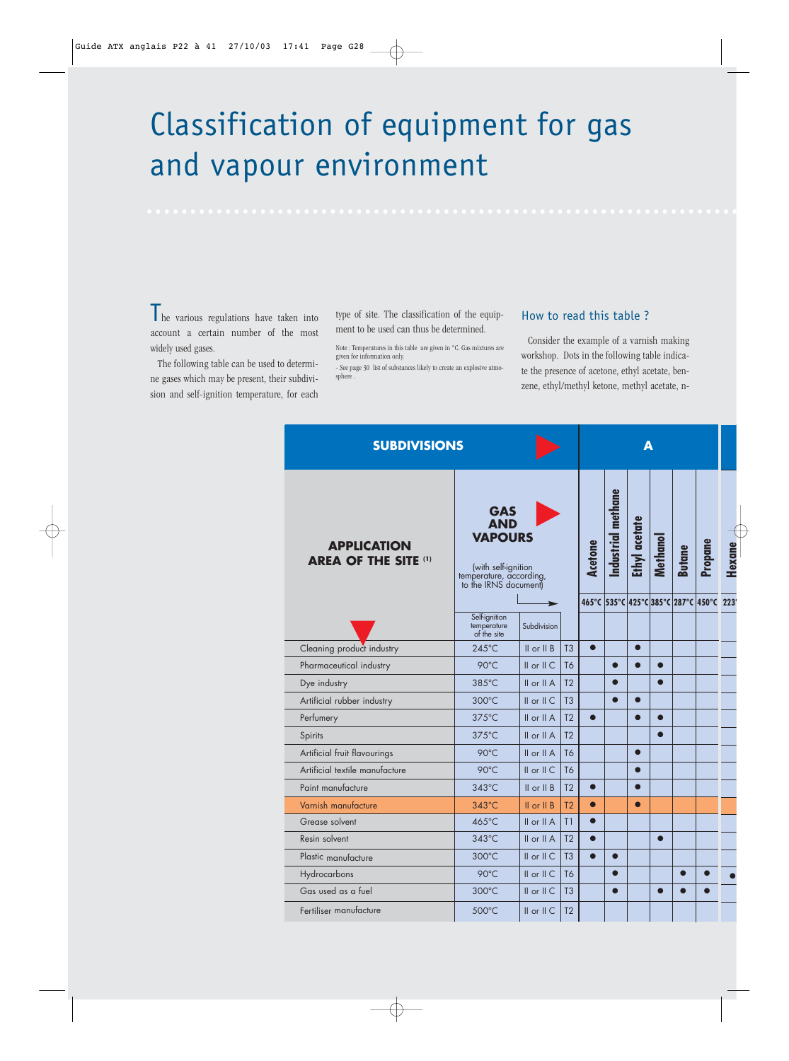## Classification of equipment for gas and vapour environment

The various regulations have taken into account a certain number of the most widely used gases.

The following table can be used to determine gases which may be present, their subdivision and self-ignition temperature, for each

type of site. The classification of the equipment to be used can thus be determined.

Note : Temperatures in this table are given in °C. Gas mixtures are given for information only.

- See page 30 list of substances likely to create an explosive atmosphere .

## How to read this table ?

Consider the example of a varnish making workshop. Dots in the following table indicate the presence of acetone, ethyl acetate, benzene, ethyl/methyl ketone, methyl acetate, n-

| <b>SUBDIVISIONS</b>                               |                                                                                                                       |                  |                |           |                    | Δ             |                 |                                     |         |
|---------------------------------------------------|-----------------------------------------------------------------------------------------------------------------------|------------------|----------------|-----------|--------------------|---------------|-----------------|-------------------------------------|---------|
| <b>APPLICATION</b><br><b>AREA OF THE SITE (1)</b> | <b>GAS</b><br><b>AND</b><br><b>VAPOURS</b><br>(with self-ignition<br>temperature, according,<br>to the IRNS document) |                  |                | Acetone   | Industrial methane | Ethyl acetate | <b>Methanol</b> | <b>Butane</b>                       | Propane |
|                                                   |                                                                                                                       |                  |                |           |                    |               |                 | 465°C 535°C 425°C 385°C 287°C 450°C |         |
|                                                   | Self-ignition<br>temperature<br>of the site                                                                           | Subdivision      |                |           |                    |               |                 |                                     |         |
| Cleaning product industry                         | 245°C                                                                                                                 | $II$ or $II$ $B$ | T <sub>3</sub> | $\bullet$ |                    |               |                 |                                     |         |
| Pharmaceutical industry                           | $90^{\circ}$ C                                                                                                        | $II$ or $II$ $C$ | T <sub>6</sub> |           | $\bullet$          | $\bullet$     | ●               |                                     |         |
| Dye industry                                      | 385°C                                                                                                                 | $II$ or $II A$   | T <sub>2</sub> |           |                    |               |                 |                                     |         |
| Artificial rubber industry                        | 300°C                                                                                                                 | $II$ or $II$ $C$ | T <sub>3</sub> |           |                    |               |                 |                                     |         |
| Perfumery                                         | $375^{\circ}$ C                                                                                                       | $II$ or $II$ A   | T <sub>2</sub> | $\bullet$ |                    |               |                 |                                     |         |
| Spirits                                           | $375^{\circ}$ C                                                                                                       | $II$ or $II A$   | T <sub>2</sub> |           |                    |               |                 |                                     |         |
| Artificial fruit flavourings                      | 90°C                                                                                                                  | II or II A       | T6             |           |                    |               |                 |                                     |         |
| Artificial textile manufacture                    | 90°C                                                                                                                  | $II$ or $II$ $C$ | <b>T6</b>      |           |                    |               |                 |                                     |         |
| Paint manufacture                                 | $343^{\circ}$ C                                                                                                       | $II$ or $II$ $B$ | T <sub>2</sub> | $\bullet$ |                    |               |                 |                                     |         |
| Varnish manufacture                               | $343^{\circ}$ C                                                                                                       | $II$ or $II$ $B$ | T <sub>2</sub> | $\bullet$ |                    | $\bullet$     |                 |                                     |         |
| Grease solvent                                    | 465°C                                                                                                                 | II or II A       | T1             | $\bullet$ |                    |               |                 |                                     |         |
| Resin solvent                                     | $343^{\circ}$ C                                                                                                       | $II$ or $II A$   | T <sub>2</sub> | $\bullet$ |                    |               | $\bullet$       |                                     |         |
| Plastic manufacture                               | 300°C                                                                                                                 | $II$ or $II$ $C$ | T <sub>3</sub> | $\bullet$ |                    |               |                 |                                     |         |
| Hydrocarbons                                      | 90°C                                                                                                                  | II or II C       | T <sub>6</sub> |           | $\bullet$          |               |                 |                                     |         |
| Gas used as a fuel                                | 300°C                                                                                                                 | $II$ or $II$ $C$ | T <sub>3</sub> |           |                    |               |                 |                                     |         |
| Fertiliser manufacture                            | 500°C                                                                                                                 | II or II C       | T <sub>2</sub> |           |                    |               |                 |                                     |         |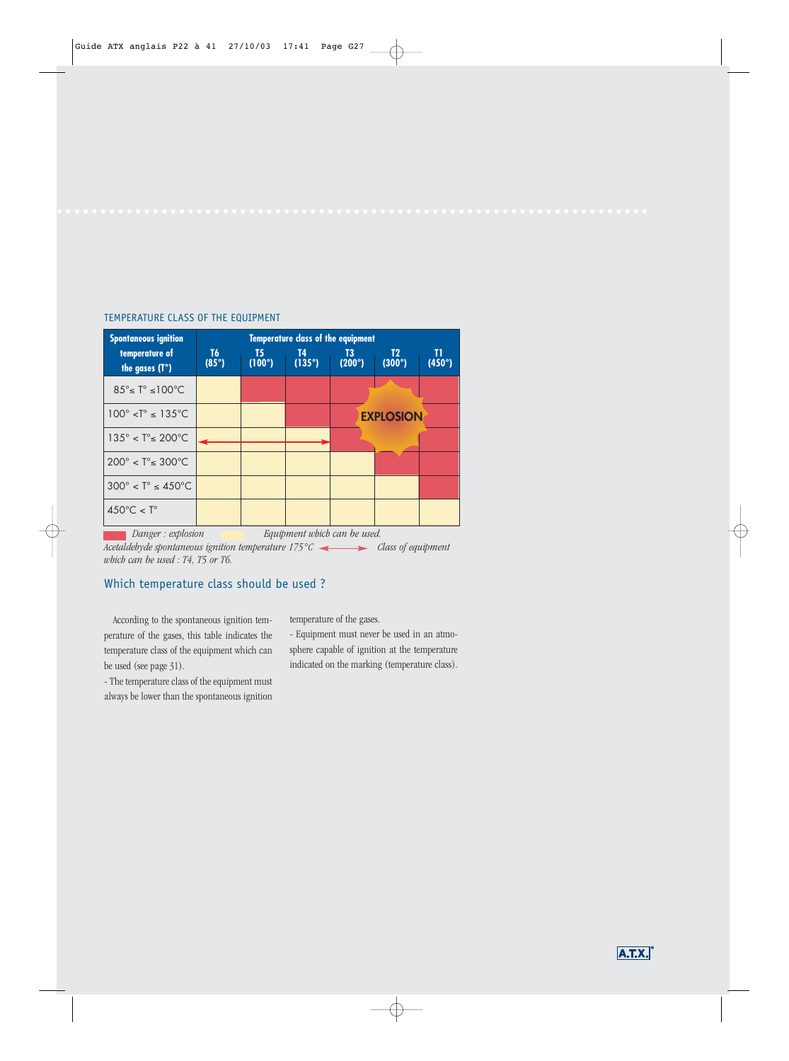## TEMPERATURE CLASS OF THE EQUIPMENT



Acetaldehyde spontaneous ignition temperature 175°C <action class of equipment *which can be used : T4, T5 or T6.*

## Which temperature class should be used ?

According to the spontaneous ignition temperature of the gases, this table indicates the temperature class of the equipment which can be used (see page 31).

- The temperature class of the equipment must always be lower than the spontaneous ignition temperature of the gases.

- Equipment must never be used in an atmosphere capable of ignition at the temperature indicated on the marking (temperature class).

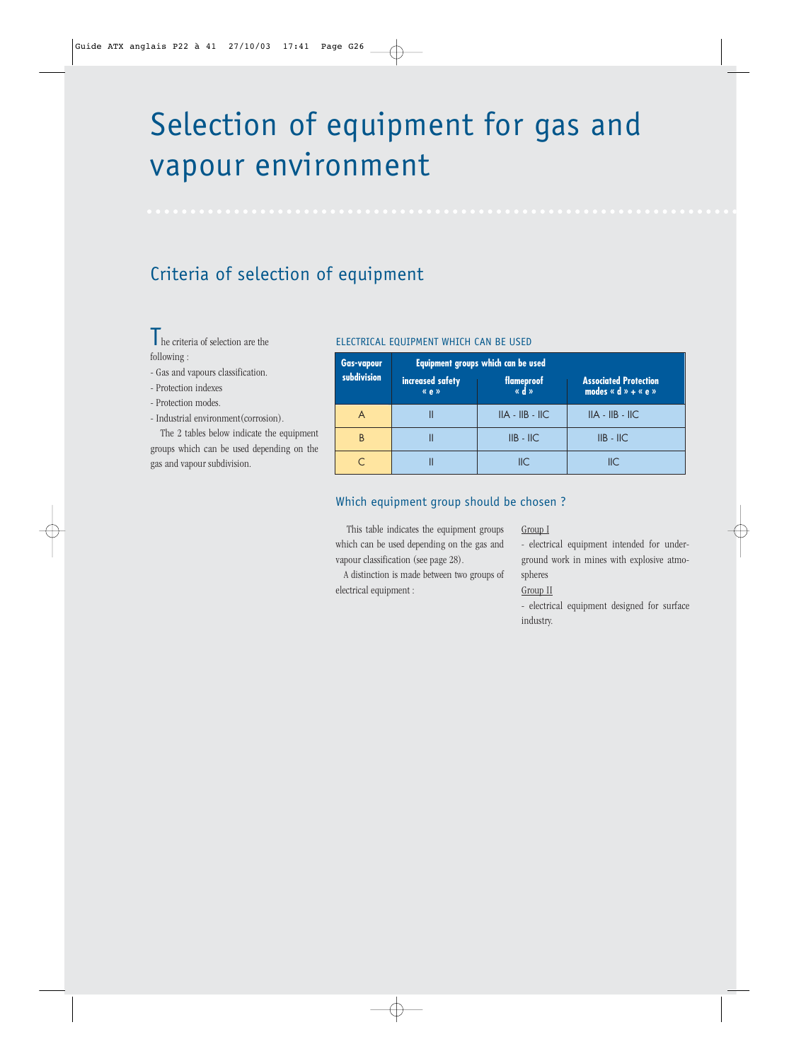# Selection of equipment for gas and vapour environment

## Criteria of selection of equipment

The criteria of selection are the following :

- Gas and vapours classification.
- Protection indexes
- Protection modes.
- Industrial environment(corrosion).

The 2 tables below indicate the equipment groups which can be used depending on the gas and vapour subdivision.

## ELECTRICAL EQUIPMENT WHICH CAN BE USED

| <b>Gas-vapour</b> | Equipment groups which can be used |                     |                                                         |  |  |  |  |
|-------------------|------------------------------------|---------------------|---------------------------------------------------------|--|--|--|--|
| subdivision       | increased safety<br>«e»            | flameproof<br>« d » | <b>Associated Protection</b><br>modes « $d$ » + « $e$ » |  |  |  |  |
|                   |                                    | $IIA - IIB - IIC$   | $IIA - IIB - IIC$                                       |  |  |  |  |
| B                 |                                    | $IIB - IIC$         | $IIB - IIC$                                             |  |  |  |  |
|                   |                                    | $\mathsf{IIC}$      | IIС                                                     |  |  |  |  |

## Which equipment group should be chosen ?

This table indicates the equipment groups which can be used depending on the gas and vapour classification (see page 28).

A distinction is made between two groups of electrical equipment :

Group I

- electrical equipment intended for underground work in mines with explosive atmospheres Group II

- electrical equipment designed for surface industry.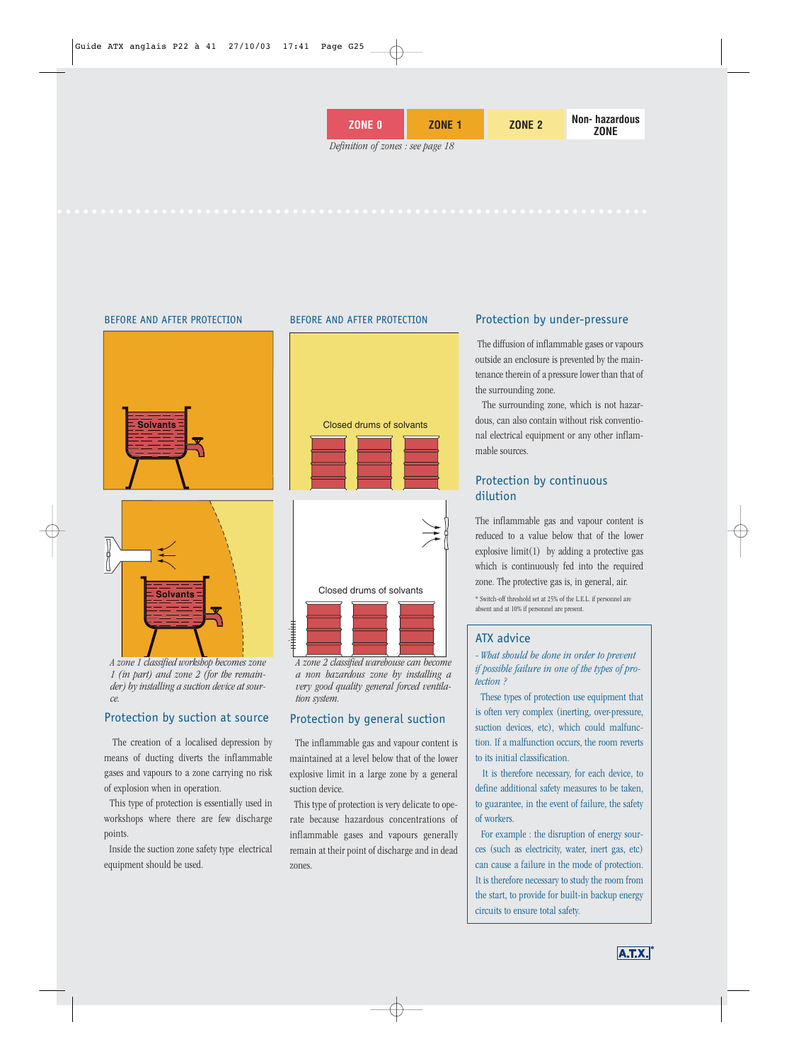#### BEFORE AND AFTER PROTECTION BEFORE AND AFTER PROTECTION





**Solvants** 

## Protection by suction at source

The creation of a localised depression by means of ducting diverts the inflammable gases and vapours to a zone carrying no risk of explosion when in operation.

This type of protection is essentially used in workshops where there are few discharge points.

Inside the suction zone safety type electrical equipment should be used.





*A zone 2 classified warehouse can become a non hazardous zone by installing a very good quality general forced ventilation system.*

## Protection by general suction

The inflammable gas and vapour content is maintained at a level below that of the lower explosive limit in a large zone by a general suction device.

This type of protection is very delicate to operate because hazardous concentrations of inflammable gases and vapours generally remain at their point of discharge and in dead zones.

## Protection by under-pressure

The diffusion of inflammable gases or vapours outside an enclosure is prevented by the maintenance therein of a pressure lower than that of the surrounding zone.

The surrounding zone, which is not hazardous, can also contain without risk conventional electrical equipment or any other inflammable sources.

## Protection by continuous dilution

The inflammable gas and vapour content is reduced to a value below that of the lower explosive limit(1) by adding a protective gas which is continuously fed into the required zone. The protective gas is, in general, air.

\* Switch-off threshold set at 25% of the L.E.L. if personnel are absent and at 10% if personnel are present.

### ATX advice

- *What should be done in order to prevent if possible failure in one of the types of protection ?*

These types of protection use equipment that is often very complex (inerting, over-pressure, suction devices, etc), which could malfunction. If a malfunction occurs, the room reverts to its initial classification.

It is therefore necessary, for each device, to define additional safety measures to be taken, to guarantee, in the event of failure, the safety of workers.

For example : the disruption of energy sources (such as electricity, water, inert gas, etc) can cause a failure in the mode of protection. It is therefore necessary to study the room from the start, to provide for built-in backup energy circuits to ensure total safety.

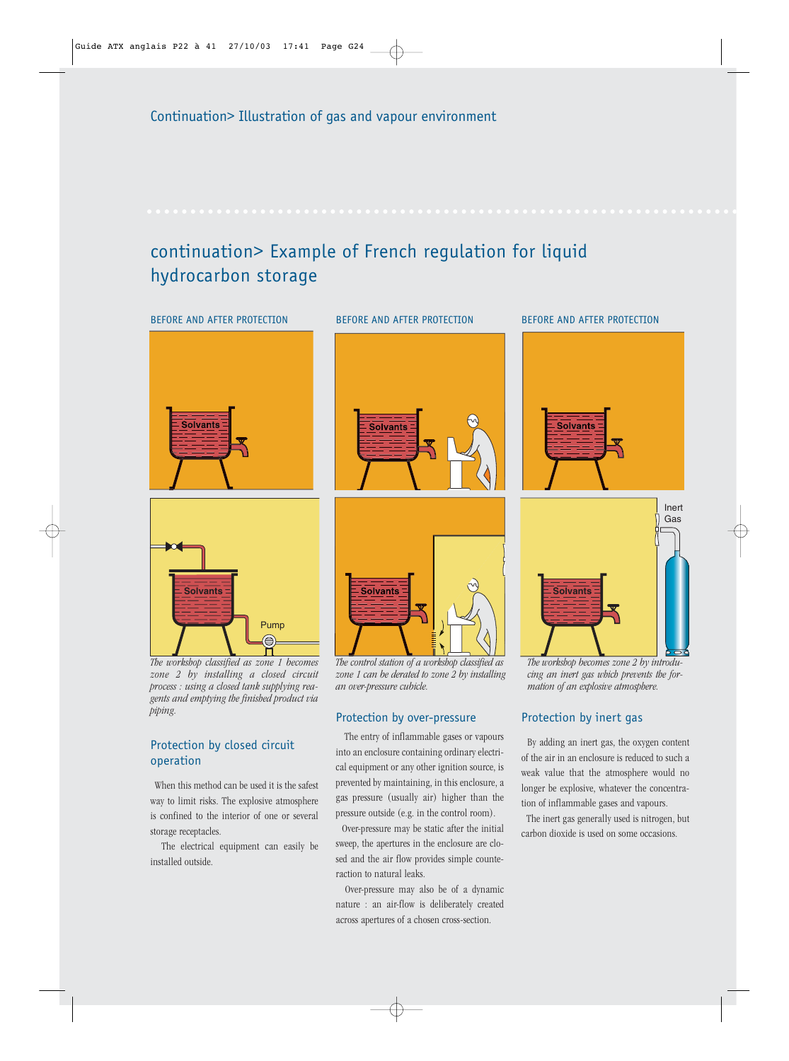## continuation> Example of French regulation for liquid hydrocarbon storage



*The workshop classified as zone 1 becomes zone 2 by installing a closed circuit process : using a closed tank supplying reagents and emptying the finished product via piping.*

## Protection by closed circuit operation

When this method can be used it is the safest way to limit risks. The explosive atmosphere is confined to the interior of one or several storage receptacles.

The electrical equipment can easily be installed outside.

*The control station of a workshop classified as zone 1 can be derated to zone 2 by installing an over-pressure cubicle.*

## Protection by over-pressure

The entry of inflammable gases or vapours into an enclosure containing ordinary electrical equipment or any other ignition source, is prevented by maintaining, in this enclosure, a gas pressure (usually air) higher than the pressure outside (e.g. in the control room).

Over-pressure may be static after the initial sweep, the apertures in the enclosure are closed and the air flow provides simple counteraction to natural leaks.

Over-pressure may also be of a dynamic nature : an air-flow is deliberately created across apertures of a chosen cross-section.





*The workshop becomes zone 2 by introducing an inert gas which prevents the formation of an explosive atmosphere.*

## Protection by inert gas

By adding an inert gas, the oxygen content of the air in an enclosure is reduced to such a weak value that the atmosphere would no longer be explosive, whatever the concentration of inflammable gases and vapours.

The inert gas generally used is nitrogen, but carbon dioxide is used on some occasions.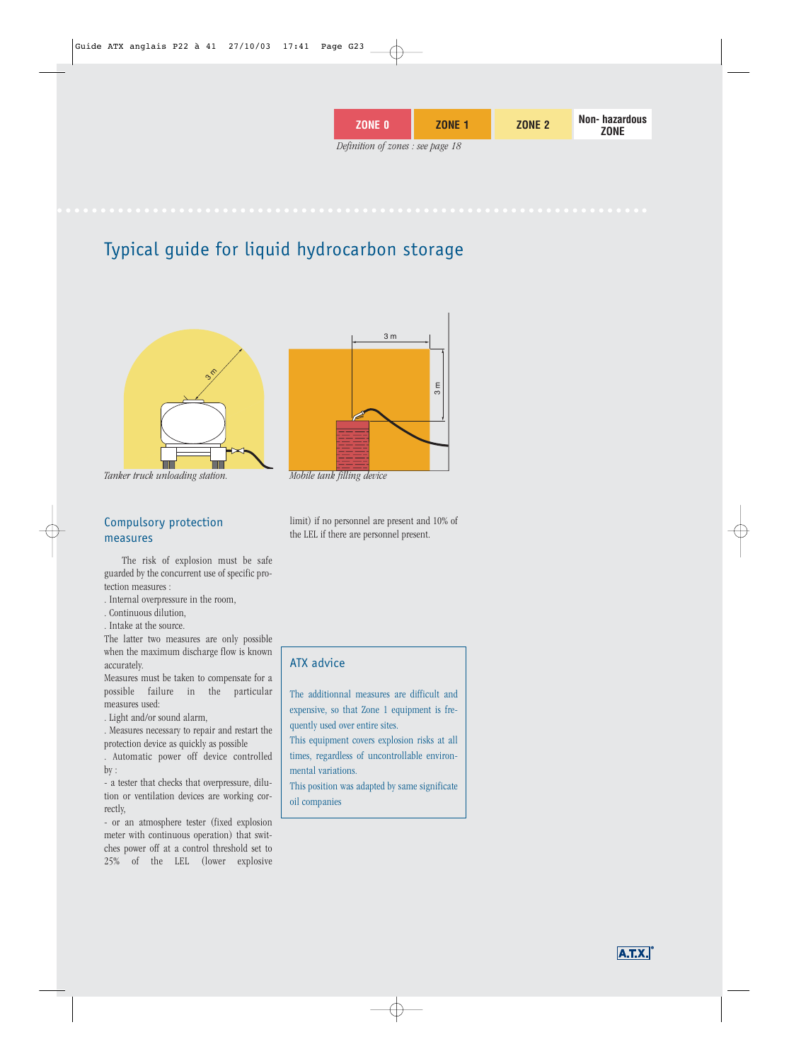| <b>ZONE 0</b>                     | <b>ZONE 1</b> | <b>ZONE 2</b> | Non-hazardous<br>ZONE |
|-----------------------------------|---------------|---------------|-----------------------|
| Definition of zones : see page 18 |               |               |                       |

## Typical guide for liquid hydrocarbon storage



*Tanker truck unloading station.*

## Compulsory protection measures

The risk of explosion must be safe guarded by the concurrent use of specific protection measures :

. Internal overpressure in the room,

. Continuous dilution,

. Intake at the source.

The latter two measures are only possible when the maximum discharge flow is known accurately.

Measures must be taken to compensate for a possible failure in the particular measures used:

. Light and/or sound alarm,

. Measures necessary to repair and restart the protection device as quickly as possible

. Automatic power off device controlled by :

- a tester that checks that overpressure, dilution or ventilation devices are working correctly,

- or an atmosphere tester (fixed explosion meter with continuous operation) that switches power off at a control threshold set to 25% of the LEL (lower explosive



*Mobile tank filling device*

limit) if no personnel are present and 10% of the LEL if there are personnel present.

## ATX advice

The additionnal measures are difficult and expensive, so that Zone 1 equipment is frequently used over entire sites.

This equipment covers explosion risks at all times, regardless of uncontrollable environmental variations.

This position was adapted by same significate oil companies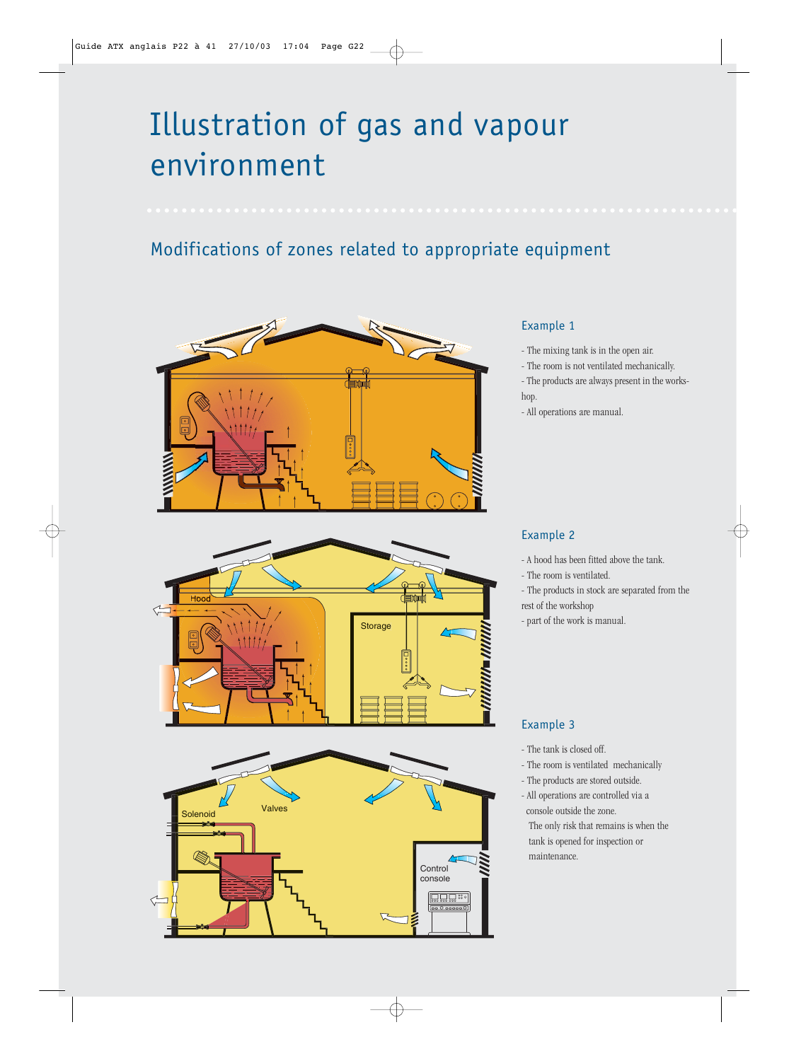# Illustration of gas and vapour environment

## Modifications of zones related to appropriate equipment



## Example 1

- The mixing tank is in the open air.
- The room is not ventilated mechanically.
- The products are always present in the workshop.
- All operations are manual.





## Example 2

- A hood has been fitted above the tank.
- The room is ventilated.
- The products in stock are separated from the rest of the workshop
- part of the work is manual.

## Example 3

- The tank is closed off.
- The room is ventilated mechanically
- The products are stored outside.
- All operations are controlled via a console outside the zone.

The only risk that remains is when the tank is opened for inspection or maintenance.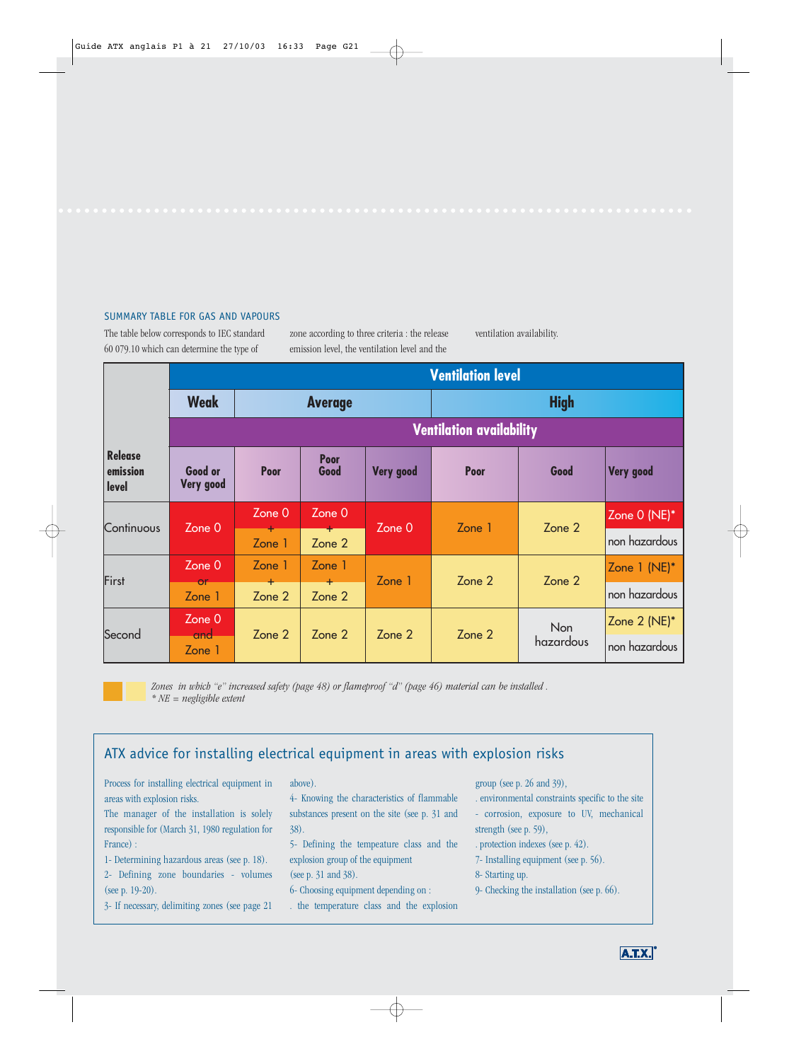## SUMMARY TABLE FOR GAS AND VAPOURS

The table below corresponds to IEC standard 60 079.10 which can determine the type of

zone according to three criteria : the release emission level, the ventilation level and the

ventilation availability.

|                                     |                      |                     |                     |                  | <b>Ventilation level</b>        |                   |                  |
|-------------------------------------|----------------------|---------------------|---------------------|------------------|---------------------------------|-------------------|------------------|
|                                     | <b>Weak</b>          |                     | <b>Average</b>      |                  |                                 | <b>High</b>       |                  |
|                                     |                      |                     |                     |                  | <b>Ventilation availability</b> |                   |                  |
| <b>Release</b><br>emission<br>level | Good or<br>Very good | <b>Poor</b>         | <b>Poor</b><br>Good | <b>Very good</b> | <b>Poor</b>                     | Good              | <b>Very good</b> |
|                                     |                      | Zone 0              | Zone 0              |                  |                                 |                   | Zone 0 (NE)*     |
| Continuous                          | Zone 0               | Zone 1              | Zone 2              | Zone 0           | Zone 1                          | Zone <sub>2</sub> | non hazardous    |
| First                               | Zone 0               | Zone 1              | Zone 1              | Zone 1           | Zone 2                          | Zone 2            | Zone $1$ (NE)*   |
|                                     | or<br>Zone 1         | $\ddot{}$<br>Zone 2 | $+$<br>Zone 2       |                  |                                 |                   | non hazardous    |
|                                     | Zone 0               |                     |                     |                  |                                 | <b>Non</b>        | Zone 2 (NE)*     |
| Second                              | and<br>Zone 1        | Zone 2              | Zone 2              | Zone 2           | Zone 2                          | hazardous         | non hazardous    |

*Zones in which "e" increased safety (page 48) or flameproof "d" (page 46) material can be installed . \* NE = negligible extent*

## ATX advice for installing electrical equipment in areas with explosion risks

Process for installing electrical equipment in areas with explosion risks.

The manager of the installation is solely responsible for (March 31, 1980 regulation for France) :

1- Determining hazardous areas (see p. 18). 2- Defining zone boundaries - volumes (see p. 19-20).

3- If necessary, delimiting zones (see page 21

above).

4- Knowing the characteristics of flammable substances present on the site (see p. 31 and 38).

5- Defining the tempeature class and the explosion group of the equipment (see p. 31 and 38).

6- Choosing equipment depending on :

. the temperature class and the explosion

group (see p. 26 and 39),

. environmental constraints specific to the site

- corrosion, exposure to UV, mechanical strength (see p. 59),

. protection indexes (see p. 42).

- 7- Installing equipment (see p. 56).
- 8- Starting up.
- 9- Checking the installation (see p. 66).

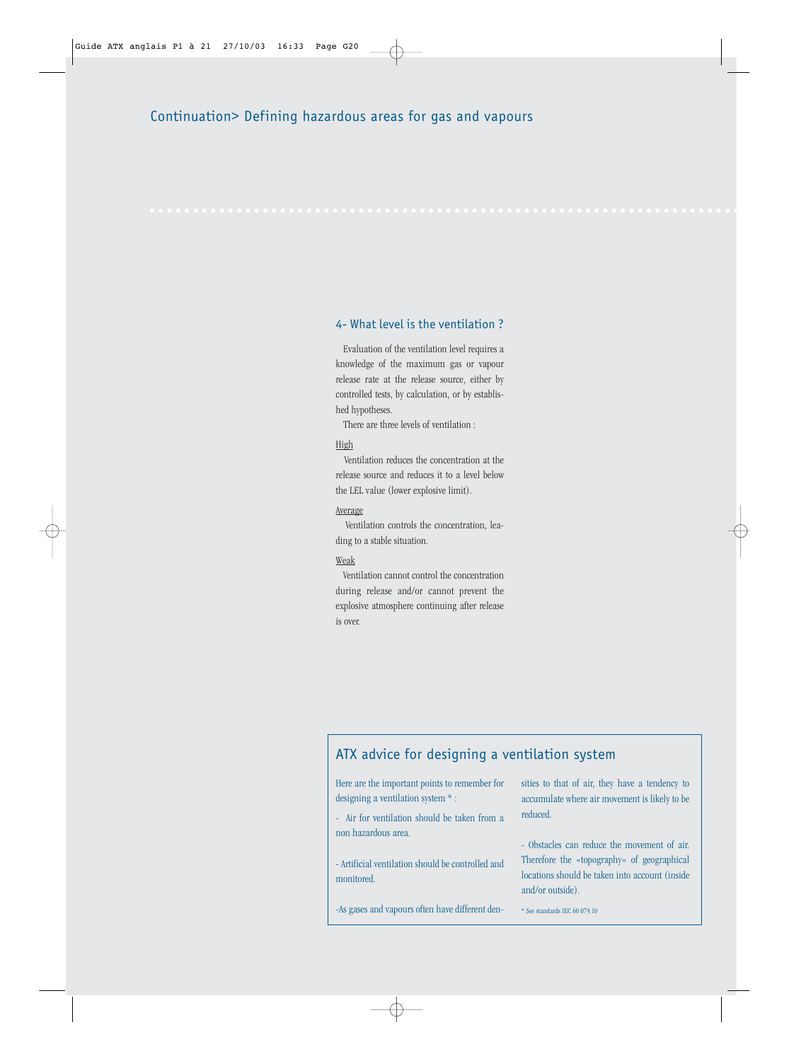## 4- What level is the ventilation ?

Evaluation of the ventilation level requires a knowledge of the maximum gas or vapour release rate at the release source, either by controlled tests, by calculation, or by established hypotheses.

There are three levels of ventilation :

## High

Ventilation reduces the concentration at the release source and reduces it to a level below the LEL value (lower explosive limit).

### Average

Ventilation controls the concentration, leading to a stable situation.

## Weak

Ventilation cannot control the concentration during release and/or cannot prevent the explosive atmosphere continuing after release is over.

## ATX advice for designing a ventilation system

Here are the important points to remember for designing a ventilation system \* :

- Air for ventilation should be taken from a non hazardous area.

- Artificial ventilation should be controlled and monitored.

-As gases and vapours often have different den-

sities to that of air, they have a tendency to accumulate where air movement is likely to be reduced.

- Obstacles can reduce the movement of air. Therefore the «topography» of geographical locations should be taken into account (inside and/or outside).

\* See standards IEC 60 079.10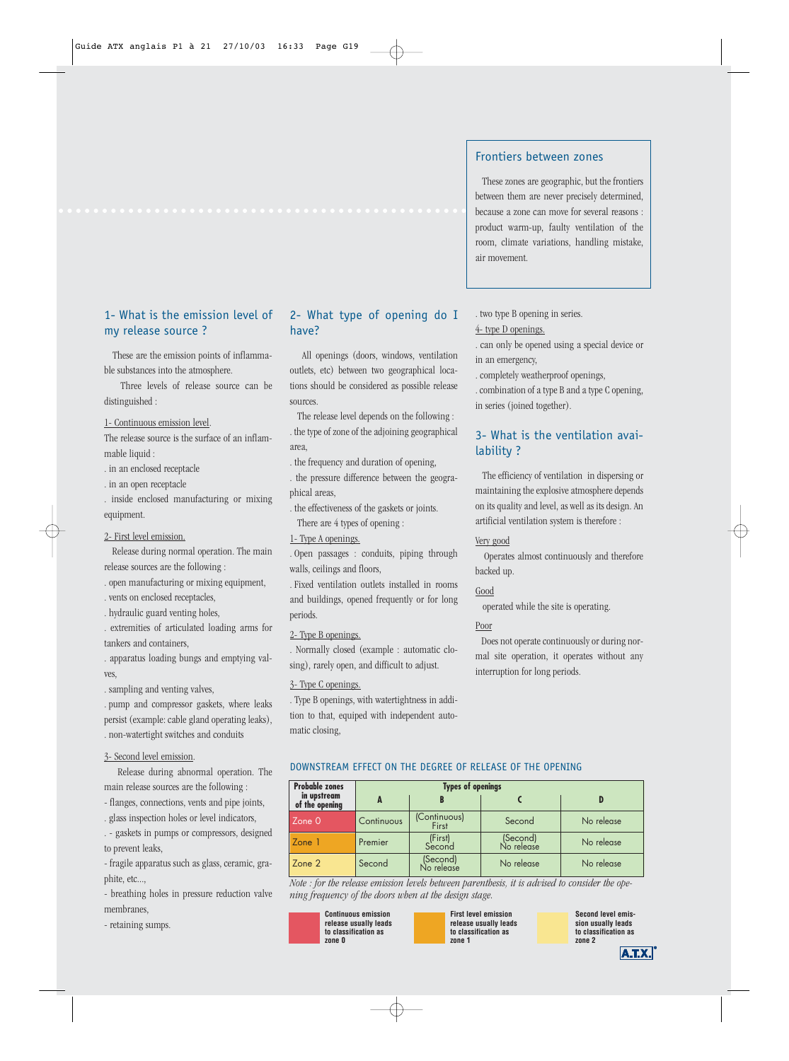## 1- What is the emission level of my release source ?

These are the emission points of inflammable substances into the atmosphere.

Three levels of release source can be distinguished :

1- Continuous emission level.

The release source is the surface of an inflammable liquid :

. in an enclosed receptacle

. in an open receptacle

. inside enclosed manufacturing or mixing equipment.

2- First level emission.

Release during normal operation. The main release sources are the following :

. open manufacturing or mixing equipment,

. vents on enclosed receptacles,

. hydraulic guard venting holes,

. extremities of articulated loading arms for tankers and containers,

. apparatus loading bungs and emptying valves,

. sampling and venting valves,

. pump and compressor gaskets, where leaks persist (example: cable gland operating leaks), . non-watertight switches and conduits

3- Second level emission.

Release during abnormal operation. The main release sources are the following :

- flanges, connections, vents and pipe joints,

. glass inspection holes or level indicators,

. - gaskets in pumps or compressors, designed to prevent leaks,

- fragile apparatus such as glass, ceramic, graphite, etc...,

- breathing holes in pressure reduction valve membranes,

- retaining sumps.

## 2- What type of opening do I have?

All openings (doors, windows, ventilation outlets, etc) between two geographical locations should be considered as possible release sources.

The release level depends on the following : . the type of zone of the adjoining geographical area,

. the frequency and duration of opening,

. the pressure difference between the geographical areas,

. the effectiveness of the gaskets or joints. There are 4 types of opening :

1- Type A openings.

. Open passages : conduits, piping through walls, ceilings and floors,

. Fixed ventilation outlets installed in rooms and buildings, opened frequently or for long periods.

### 2- Type B openings.

. Normally closed (example : automatic closing), rarely open, and difficult to adjust.

### 3- Type C openings.

. Type B openings, with watertightness in addition to that, equiped with independent automatic closing,

## Frontiers between zones

These zones are geographic, but the frontiers between them are never precisely determined, because a zone can move for several reasons : product warm-up, faulty ventilation of the room, climate variations, handling mistake, air movement.

. two type B opening in series. 4- type D openings.

. can only be opened using a special device or in an emergency,

. completely weatherproof openings,

. combination of a type B and a type C opening, in series (joined together).

## 3- What is the ventilation availability ?

The efficiency of ventilation in dispersing or maintaining the explosive atmosphere depends on its quality and level, as well as its design. An artificial ventilation system is therefore :

## Very good

Operates almost continuously and therefore backed up.

## Good

operated while the site is operating.

## Poor

Does not operate continuously or during normal site operation, it operates without any interruption for long periods.

## DOWNSTREAM EFFECT ON THE DEGREE OF RELEASE OF THE OPENING

| <b>Probable zones</b>         |            | <b>Types of openings</b> |                        |            |
|-------------------------------|------------|--------------------------|------------------------|------------|
| in upstream<br>of the opening |            |                          |                        |            |
| Zone 0                        | Continuous | (Continuous)<br>First    | Second                 | No release |
| Zone 1                        | Premier    | (First)<br>Second        | (Second)<br>No release | No release |
| Zone 2                        | Second     | (Second)<br>No release   | No release             | No release |

*Note : for the release emission levels between parenthesis, it is advised to consider the opening frequency of the doors when at the design stage.*



**First level emission release usually leads to classification as zone 1**

**Second level emission usually leads to classification as zone 2**